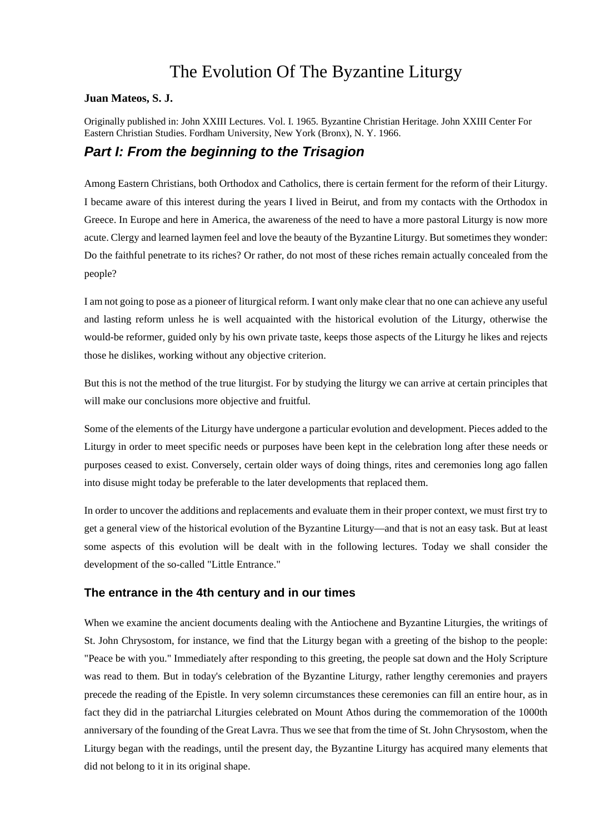# The Evolution Of The Byzantine Liturgy

#### **Juan Mateos, S. J.**

Originally published in: John XXIII Lectures. Vol. I. 1965. Byzantine Christian Heritage. John XXIII Center For Eastern Christian Studies. Fordham University, New York (Bronx), N. Y. 1966.

## *Part I: From the beginning to the Trisagion*

Among Eastern Christians, both Orthodox and Catholics, there is certain ferment for the reform of their Liturgy. I became aware of this interest during the years I lived in Beirut, and from my contacts with the Orthodox in Greece. In Europe and here in America, the awareness of the need to have a more pastoral Liturgy is now more acute. Clergy and learned laymen feel and love the beauty of the Byzantine Liturgy. But sometimes they wonder: Do the faithful penetrate to its riches? Or rather, do not most of these riches remain actually concealed from the people?

I am not going to pose as a pioneer of liturgical reform. I want only make clear that no one can achieve any useful and lasting reform unless he is well acquainted with the historical evolution of the Liturgy, otherwise the would-be reformer, guided only by his own private taste, keeps those aspects of the Liturgy he likes and rejects those he dislikes, working without any objective criterion.

But this is not the method of the true liturgist. For by studying the liturgy we can arrive at certain principles that will make our conclusions more objective and fruitful.

Some of the elements of the Liturgy have undergone a particular evolution and development. Pieces added to the Liturgy in order to meet specific needs or purposes have been kept in the celebration long after these needs or purposes ceased to exist. Conversely, certain older ways of doing things, rites and ceremonies long ago fallen into disuse might today be preferable to the later developments that replaced them.

In order to uncover the additions and replacements and evaluate them in their proper context, we must first try to get a general view of the historical evolution of the Byzantine Liturgy—and that is not an easy task. But at least some aspects of this evolution will be dealt with in the following lectures. Today we shall consider the development of the so-called "Little Entrance."

## **The entrance in the 4th century and in our times**

When we examine the ancient documents dealing with the Antiochene and Byzantine Liturgies, the writings of St. John Chrysostom, for instance, we find that the Liturgy began with a greeting of the bishop to the people: "Peace be with you." Immediately after responding to this greeting, the people sat down and the Holy Scripture was read to them. But in today's celebration of the Byzantine Liturgy, rather lengthy ceremonies and prayers precede the reading of the Epistle. In very solemn circumstances these ceremonies can fill an entire hour, as in fact they did in the patriarchal Liturgies celebrated on Mount Athos during the commemoration of the 1000th anniversary of the founding of the Great Lavra. Thus we see that from the time of St. John Chrysostom, when the Liturgy began with the readings, until the present day, the Byzantine Liturgy has acquired many elements that did not belong to it in its original shape.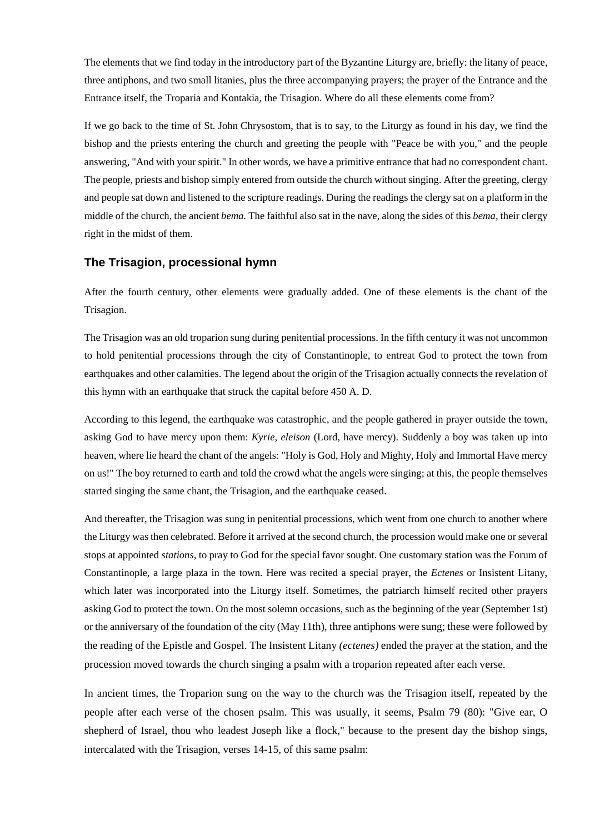The elements that we find today in the introductory part of the Byzantine Liturgy are, briefly: the litany of peace, three antiphons, and two small litanies, plus the three accompanying prayers; the prayer of the Entrance and the Entrance itself, the Troparia and Kontakia, the Trisagion. Where do all these elements come from?

If we go back to the time of St. John Chrysostom, that is to say, to the Liturgy as found in his day, we find the bishop and the priests entering the church and greeting the people with "Peace be with you," and the people answering, "And with your spirit." In other words, we have a primitive entrance that had no correspondent chant. The people, priests and bishop simply entered from outside the church without singing. After the greeting, clergy and people sat down and listened to the scripture readings. During the readings the clergy sat on a platform in the middle of the church, the ancient *bema.* The faithful also sat in the nave, along the sides of this *bema,* their clergy right in the midst of them.

## **The Trisagion, processional hymn**

After the fourth century, other elements were gradually added. One of these elements is the chant of the Trisagion.

The Trisagion was an old troparion sung during penitential processions. In the fifth century it was not uncommon to hold penitential processions through the city of Constantinople, to entreat God to protect the town from earthquakes and other calamities. The legend about the origin of the Trisagion actually connects the revelation of this hymn with an earthquake that struck the capital before 450 A. D.

According to this legend, the earthquake was catastrophic, and the people gathered in prayer outside the town, asking God to have mercy upon them: *Kyrie, eleison* (Lord, have mercy). Suddenly a boy was taken up into heaven, where lie heard the chant of the angels: "Holy is God, Holy and Mighty, Holy and Immortal Have mercy on us!" The boy returned to earth and told the crowd what the angels were singing; at this, the people themselves started singing the same chant, the Trisagion, and the earthquake ceased.

And thereafter, the Trisagion was sung in penitential processions, which went from one church to another where the Liturgy was then celebrated. Before it arrived at the second church, the procession would make one or several stops at appointed *stations,* to pray to God for the special favor sought. One customary station was the Forum of Constantinople, a large plaza in the town. Here was recited a special prayer, the *Ectenes* or Insistent Litany, which later was incorporated into the Liturgy itself. Sometimes, the patriarch himself recited other prayers asking God to protect the town. On the most solemn occasions, such as the beginning of the year (September 1st) or the anniversary of the foundation of the city (May 11th), three antiphons were sung; these were followed by the reading of the Epistle and Gospel. The Insistent Litany *(ectenes)* ended the prayer at the station, and the procession moved towards the church singing a psalm with a troparion repeated after each verse.

In ancient times, the Troparion sung on the way to the church was the Trisagion itself, repeated by the people after each verse of the chosen psalm. This was usually, it seems, Psalm 79 (80): "Give ear, O shepherd of Israel, thou who leadest Joseph like a flock," because to the present day the bishop sings, intercalated with the Trisagion, verses 14-15, of this same psalm: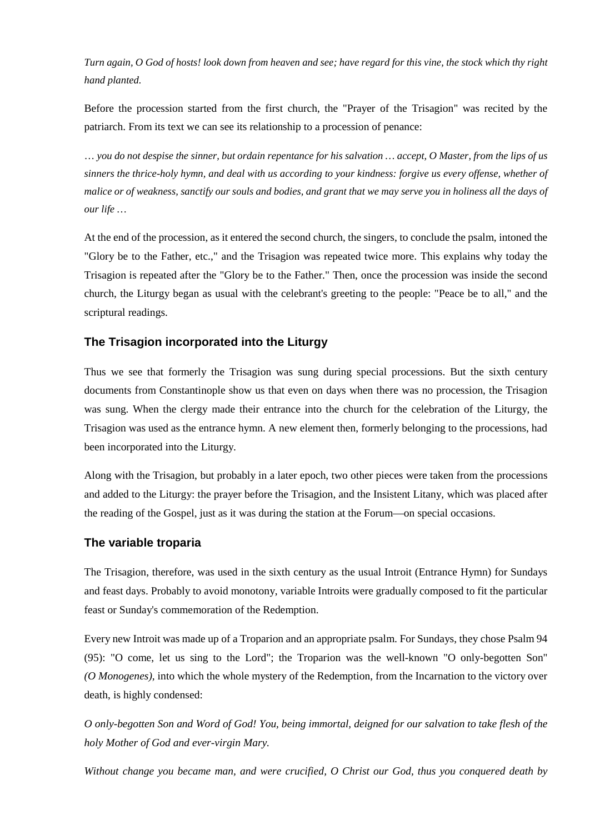*Turn again, O God of hosts! look down from heaven and see; have regard for this vine, the stock which thy right hand planted.*

Before the procession started from the first church, the "Prayer of the Trisagion" was recited by the patriarch. From its text we can see its relationship to a procession of penance:

… *you do not despise the sinner, but ordain repentance for his salvation … accept, O Master, from the lips of us sinners the thrice-holy hymn, and deal with us according to your kindness: forgive us every offense, whether of malice or of weakness, sanctify our souls and bodies, and grant that we may serve you in holiness all the days of our life …*

At the end of the procession, as it entered the second church, the singers, to conclude the psalm, intoned the "Glory be to the Father, etc.," and the Trisagion was repeated twice more. This explains why today the Trisagion is repeated after the "Glory be to the Father." Then, once the procession was inside the second church, the Liturgy began as usual with the celebrant's greeting to the people: "Peace be to all," and the scriptural readings.

## **The Trisagion incorporated into the Liturgy**

Thus we see that formerly the Trisagion was sung during special processions. But the sixth century documents from Constantinople show us that even on days when there was no procession, the Trisagion was sung. When the clergy made their entrance into the church for the celebration of the Liturgy, the Trisagion was used as the entrance hymn. A new element then, formerly belonging to the processions, had been incorporated into the Liturgy.

Along with the Trisagion, but probably in a later epoch, two other pieces were taken from the processions and added to the Liturgy: the prayer before the Trisagion, and the Insistent Litany, which was placed after the reading of the Gospel, just as it was during the station at the Forum—on special occasions.

## **The variable troparia**

The Trisagion, therefore, was used in the sixth century as the usual Introit (Entrance Hymn) for Sundays and feast days. Probably to avoid monotony, variable Introits were gradually composed to fit the particular feast or Sunday's commemoration of the Redemption.

Every new Introit was made up of a Troparion and an appropriate psalm. For Sundays, they chose Psalm 94 (95): "O come, let us sing to the Lord"; the Troparion was the well-known "O only-begotten Son" *(O Monogenes),* into which the whole mystery of the Redemption, from the Incarnation to the victory over death, is highly condensed:

*O only-begotten Son and Word of God! You, being immortal, deigned for our salvation to take flesh of the holy Mother of God and ever-virgin Mary.*

*Without change you became man, and were crucified, O Christ our God, thus you conquered death by*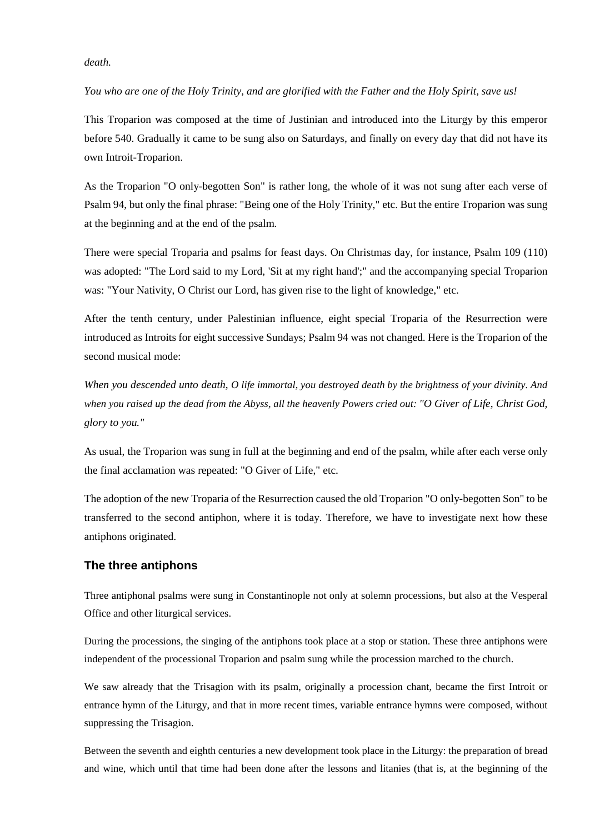#### *death.*

*You who are one of the Holy Trinity, and are glorified with the Father and the Holy Spirit, save us!*

This Troparion was composed at the time of Justinian and introduced into the Liturgy by this emperor before 540. Gradually it came to be sung also on Saturdays, and finally on every day that did not have its own Introit-Troparion.

As the Troparion "O only-begotten Son" is rather long, the whole of it was not sung after each verse of Psalm 94, but only the final phrase: "Being one of the Holy Trinity," etc. But the entire Troparion was sung at the beginning and at the end of the psalm.

There were special Troparia and psalms for feast days. On Christmas day, for instance, Psalm 109 (110) was adopted: "The Lord said to my Lord, 'Sit at my right hand';" and the accompanying special Troparion was: "Your Nativity, O Christ our Lord, has given rise to the light of knowledge," etc.

After the tenth century, under Palestinian influence, eight special Troparia of the Resurrection were introduced as Introits for eight successive Sundays; Psalm 94 was not changed. Here is the Troparion of the second musical mode:

*When you descended unto death, O life immortal, you destroyed death by the brightness of your divinity. And when you raised up the dead from the Abyss, all the heavenly Powers cried out: "O Giver of Life, Christ God, glory to you."*

As usual, the Troparion was sung in full at the beginning and end of the psalm, while after each verse only the final acclamation was repeated: "O Giver of Life," etc.

The adoption of the new Troparia of the Resurrection caused the old Troparion "O only-begotten Son" to be transferred to the second antiphon, where it is today. Therefore, we have to investigate next how these antiphons originated.

## **The three antiphons**

Three antiphonal psalms were sung in Constantinople not only at solemn processions, but also at the Vesperal Office and other liturgical services.

During the processions, the singing of the antiphons took place at a stop or station. These three antiphons were independent of the processional Troparion and psalm sung while the procession marched to the church.

We saw already that the Trisagion with its psalm, originally a procession chant, became the first Introit or entrance hymn of the Liturgy, and that in more recent times, variable entrance hymns were composed, without suppressing the Trisagion.

Between the seventh and eighth centuries a new development took place in the Liturgy: the preparation of bread and wine, which until that time had been done after the lessons and litanies (that is, at the beginning of the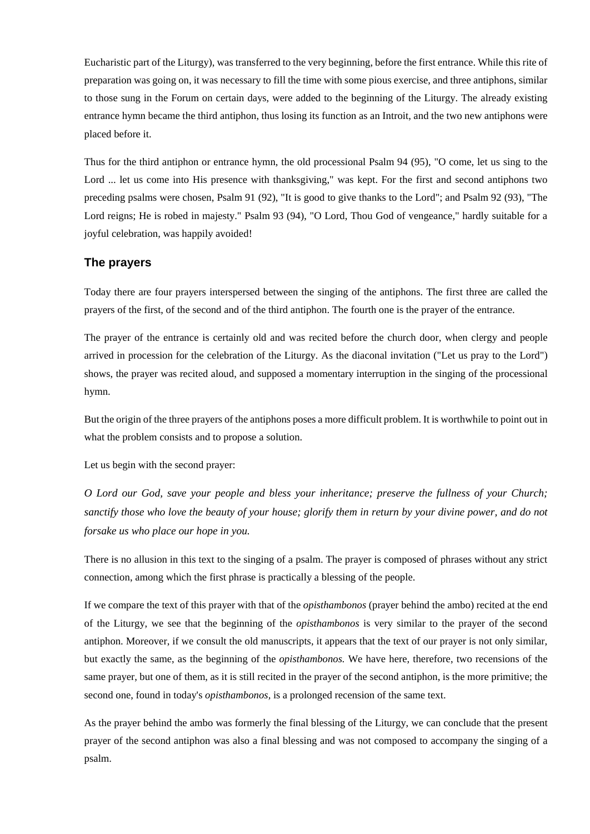Eucharistic part of the Liturgy), was transferred to the very beginning, before the first entrance. While this rite of preparation was going on, it was necessary to fill the time with some pious exercise, and three antiphons, similar to those sung in the Forum on certain days, were added to the beginning of the Liturgy. The already existing entrance hymn became the third antiphon, thus losing its function as an Introit, and the two new antiphons were placed before it.

Thus for the third antiphon or entrance hymn, the old processional Psalm 94 (95), "O come, let us sing to the Lord ... let us come into His presence with thanksgiving," was kept. For the first and second antiphons two preceding psalms were chosen, Psalm 91 (92), "It is good to give thanks to the Lord"; and Psalm 92 (93), "The Lord reigns; He is robed in majesty." Psalm 93 (94), "O Lord, Thou God of vengeance," hardly suitable for a joyful celebration, was happily avoided!

## **The prayers**

Today there are four prayers interspersed between the singing of the antiphons. The first three are called the prayers of the first, of the second and of the third antiphon. The fourth one is the prayer of the entrance.

The prayer of the entrance is certainly old and was recited before the church door, when clergy and people arrived in procession for the celebration of the Liturgy. As the diaconal invitation ("Let us pray to the Lord") shows, the prayer was recited aloud, and supposed a momentary interruption in the singing of the processional hymn.

But the origin of the three prayers of the antiphons poses a more difficult problem. It is worthwhile to point out in what the problem consists and to propose a solution.

Let us begin with the second prayer:

*O Lord our God, save your people and bless your inheritance; preserve the fullness of your Church; sanctify those who love the beauty of your house; glorify them in return by your divine power, and do not forsake us who place our hope in you.*

There is no allusion in this text to the singing of a psalm. The prayer is composed of phrases without any strict connection, among which the first phrase is practically a blessing of the people.

If we compare the text of this prayer with that of the *opisthambonos* (prayer behind the ambo) recited at the end of the Liturgy, we see that the beginning of the *opisthambonos* is very similar to the prayer of the second antiphon. Moreover, if we consult the old manuscripts, it appears that the text of our prayer is not only similar, but exactly the same, as the beginning of the *opisthambonos.* We have here, therefore, two recensions of the same prayer, but one of them, as it is still recited in the prayer of the second antiphon, is the more primitive; the second one, found in today's *opisthambonos,* is a prolonged recension of the same text.

As the prayer behind the ambo was formerly the final blessing of the Liturgy, we can conclude that the present prayer of the second antiphon was also a final blessing and was not composed to accompany the singing of a psalm.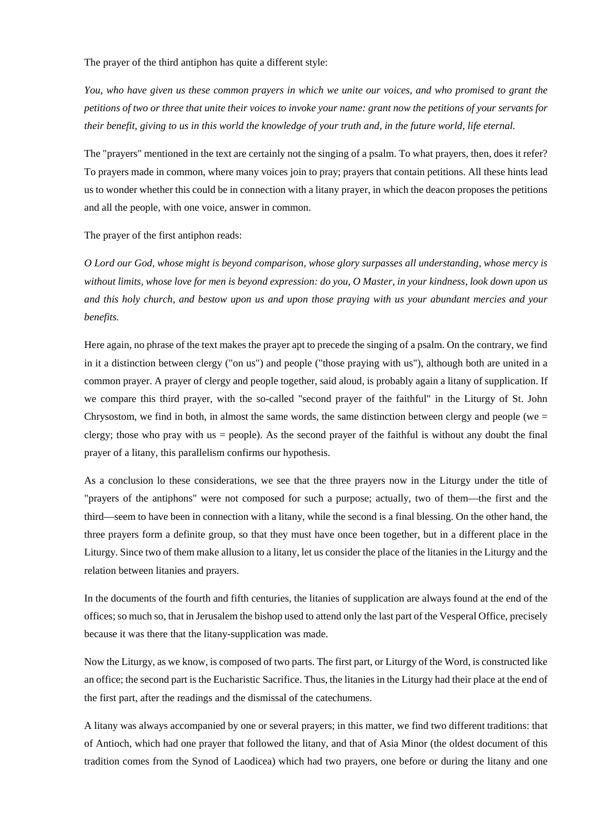The prayer of the third antiphon has quite a different style:

*You, who have given us these common prayers in which we unite our voices, and who promised to grant the petitions of two or three that unite their voices to invoke your name: grant now the petitions of your servants for their benefit, giving to us in this world the knowledge of your truth and, in the future world, life eternal.*

The "prayers" mentioned in the text are certainly not the singing of a psalm. To what prayers, then, does it refer? To prayers made in common, where many voices join to pray; prayers that contain petitions. All these hints lead us to wonder whether this could be in connection with a litany prayer, in which the deacon proposes the petitions and all the people, with one voice, answer in common.

The prayer of the first antiphon reads:

*O Lord our God, whose might is beyond comparison, whose glory surpasses all understanding, whose mercy is without limits, whose love for men is beyond expression: do you, O Master, in your kindness, look down upon us and this holy church, and bestow upon us and upon those praying with us your abundant mercies and your benefits.*

Here again, no phrase of the text makes the prayer apt to precede the singing of a psalm. On the contrary, we find in it a distinction between clergy ("on us") and people ("those praying with us"), although both are united in a common prayer. A prayer of clergy and people together, said aloud, is probably again a litany of supplication. If we compare this third prayer, with the so-called "second prayer of the faithful" in the Liturgy of St. John Chrysostom, we find in both, in almost the same words, the same distinction between clergy and people (we  $=$ clergy; those who pray with us = people). As the second prayer of the faithful is without any doubt the final prayer of a litany, this parallelism confirms our hypothesis.

As a conclusion lo these considerations, we see that the three prayers now in the Liturgy under the title of "prayers of the antiphons" were not composed for such a purpose; actually, two of them—the first and the third—seem to have been in connection with a litany, while the second is a final blessing. On the other hand, the three prayers form a definite group, so that they must have once been together, but in a different place in the Liturgy. Since two of them make allusion to a litany, let us consider the place of the litanies in the Liturgy and the relation between litanies and prayers.

In the documents of the fourth and fifth centuries, the litanies of supplication are always found at the end of the offices; so much so, that in Jerusalem the bishop used to attend only the last part of the Vesperal Office, precisely because it was there that the litany-supplication was made.

Now the Liturgy, as we know, is composed of two parts. The first part, or Liturgy of the Word, is constructed like an office; the second part is the Eucharistic Sacrifice. Thus, the litanies in the Liturgy had their place at the end of the first part, after the readings and the dismissal of the catechumens.

A litany was always accompanied by one or several prayers; in this matter, we find two different traditions: that of Antioch, which had one prayer that followed the litany, and that of Asia Minor (the oldest document of this tradition comes from the Synod of Laodicea) which had two prayers, one before or during the litany and one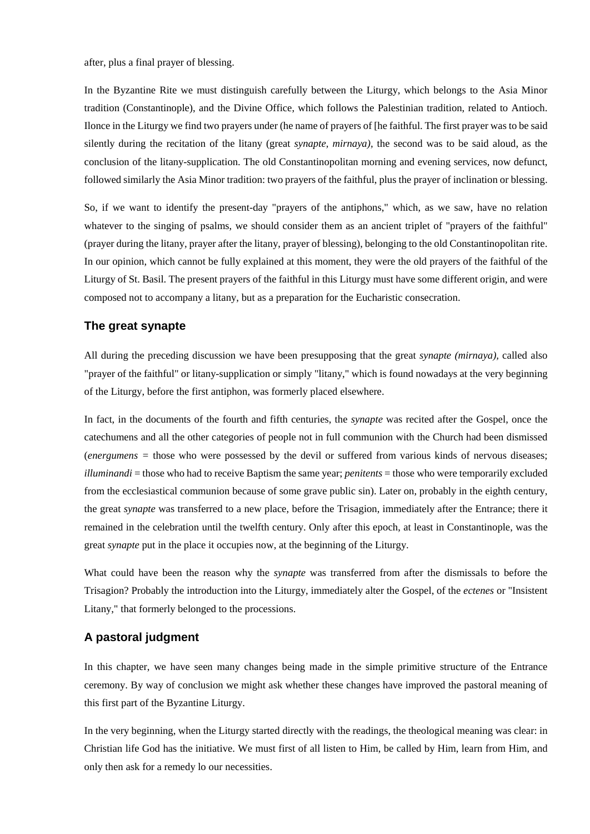after, plus a final prayer of blessing.

In the Byzantine Rite we must distinguish carefully between the Liturgy, which belongs to the Asia Minor tradition (Constantinople), and the Divine Office, which follows the Palestinian tradition, related to Antioch. Ilonce in the Liturgy we find two prayers under (he name of prayers of [he faithful. The first prayer was to be said silently during the recitation of the litany (great *synapte, mirnaya),* the second was to be said aloud, as the conclusion of the litany-supplication. The old Constantinopolitan morning and evening services, now defunct, followed similarly the Asia Minor tradition: two prayers of the faithful, plus the prayer of inclination or blessing.

So, if we want to identify the present-day "prayers of the antiphons," which, as we saw, have no relation whatever to the singing of psalms, we should consider them as an ancient triplet of "prayers of the faithful" (prayer during the litany, prayer after the litany, prayer of blessing), belonging to the old Constantinopolitan rite. In our opinion, which cannot be fully explained at this moment, they were the old prayers of the faithful of the Liturgy of St. Basil. The present prayers of the faithful in this Liturgy must have some different origin, and were composed not to accompany a litany, but as a preparation for the Eucharistic consecration.

## **The great synapte**

All during the preceding discussion we have been presupposing that the great *synapte (mirnaya),* called also "prayer of the faithful" or litany-supplication or simply "litany," which is found nowadays at the very beginning of the Liturgy, before the first antiphon, was formerly placed elsewhere.

In fact, in the documents of the fourth and fifth centuries, the *synapte* was recited after the Gospel, once the catechumens and all the other categories of people not in full communion with the Church had been dismissed (*energumens =* those who were possessed by the devil or suffered from various kinds of nervous diseases; *illuminandi* = those who had to receive Baptism the same year; *penitents* = those who were temporarily excluded from the ecclesiastical communion because of some grave public sin). Later on, probably in the eighth century, the great *synapte* was transferred to a new place, before the Trisagion, immediately after the Entrance; there it remained in the celebration until the twelfth century. Only after this epoch, at least in Constantinople, was the great *synapte* put in the place it occupies now, at the beginning of the Liturgy.

What could have been the reason why the *synapte* was transferred from after the dismissals to before the Trisagion? Probably the introduction into the Liturgy, immediately alter the Gospel, of the *ectenes* or "Insistent Litany," that formerly belonged to the processions.

## **A pastoral judgment**

In this chapter, we have seen many changes being made in the simple primitive structure of the Entrance ceremony. By way of conclusion we might ask whether these changes have improved the pastoral meaning of this first part of the Byzantine Liturgy.

In the very beginning, when the Liturgy started directly with the readings, the theological meaning was clear: in Christian life God has the initiative. We must first of all listen to Him, be called by Him, learn from Him, and only then ask for a remedy lo our necessities.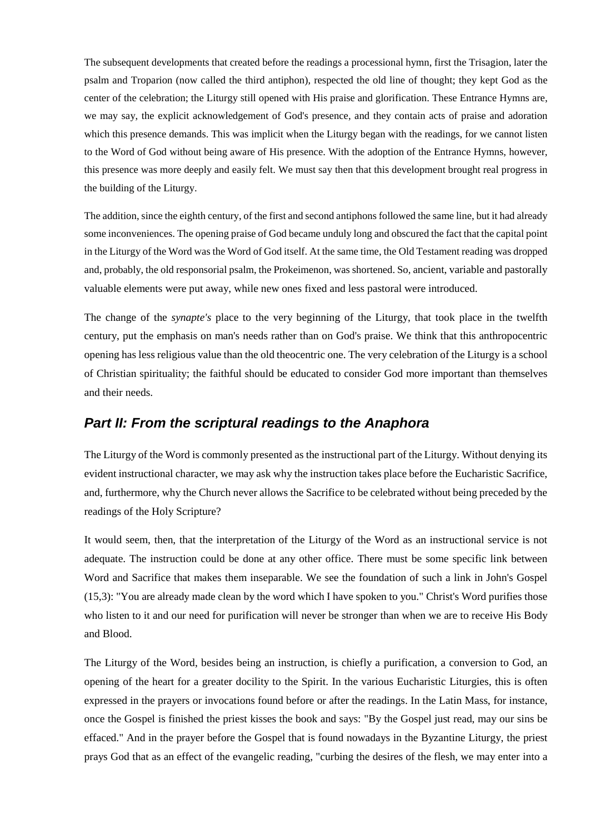The subsequent developments that created before the readings a processional hymn, first the Trisagion, later the psalm and Troparion (now called the third antiphon), respected the old line of thought; they kept God as the center of the celebration; the Liturgy still opened with His praise and glorification. These Entrance Hymns are, we may say, the explicit acknowledgement of God's presence, and they contain acts of praise and adoration which this presence demands. This was implicit when the Liturgy began with the readings, for we cannot listen to the Word of God without being aware of His presence. With the adoption of the Entrance Hymns, however, this presence was more deeply and easily felt. We must say then that this development brought real progress in the building of the Liturgy.

The addition, since the eighth century, of the first and second antiphons followed the same line, but it had already some inconveniences. The opening praise of God became unduly long and obscured the fact that the capital point in the Liturgy of the Word was the Word of God itself. At the same time, the Old Testament reading was dropped and, probably, the old responsorial psalm, the Prokeimenon, was shortened. So, ancient, variable and pastorally valuable elements were put away, while new ones fixed and less pastoral were introduced.

The change of the *synapte's* place to the very beginning of the Liturgy, that took place in the twelfth century, put the emphasis on man's needs rather than on God's praise. We think that this anthropocentric opening has less religious value than the old theocentric one. The very celebration of the Liturgy is a school of Christian spirituality; the faithful should be educated to consider God more important than themselves and their needs.

## *Part II: From the scriptural readings to the Anaphora*

The Liturgy of the Word is commonly presented as the instructional part of the Liturgy. Without denying its evident instructional character, we may ask why the instruction takes place before the Eucharistic Sacrifice, and, furthermore, why the Church never allows the Sacrifice to be celebrated without being preceded by the readings of the Holy Scripture?

It would seem, then, that the interpretation of the Liturgy of the Word as an instructional service is not adequate. The instruction could be done at any other office. There must be some specific link between Word and Sacrifice that makes them inseparable. We see the foundation of such a link in John's Gospel (15,3): "You are already made clean by the word which I have spoken to you." Christ's Word purifies those who listen to it and our need for purification will never be stronger than when we are to receive His Body and Blood.

The Liturgy of the Word, besides being an instruction, is chiefly a purification, a conversion to God, an opening of the heart for a greater docility to the Spirit. In the various Eucharistic Liturgies, this is often expressed in the prayers or invocations found before or after the readings. In the Latin Mass, for instance, once the Gospel is finished the priest kisses the book and says: "By the Gospel just read, may our sins be effaced." And in the prayer before the Gospel that is found nowadays in the Byzantine Liturgy, the priest prays God that as an effect of the evangelic reading, "curbing the desires of the flesh, we may enter into a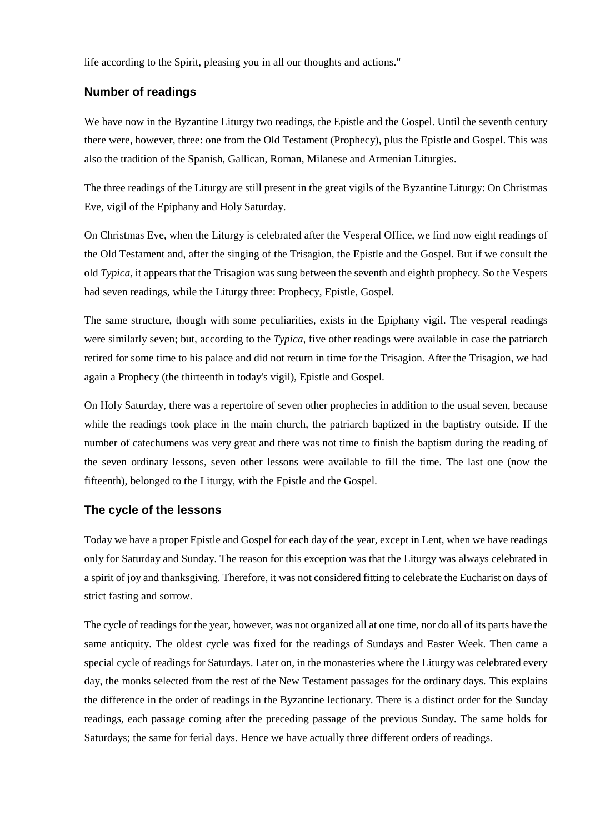life according to the Spirit, pleasing you in all our thoughts and actions."

## **Number of readings**

We have now in the Byzantine Liturgy two readings, the Epistle and the Gospel. Until the seventh century there were, however, three: one from the Old Testament (Prophecy), plus the Epistle and Gospel. This was also the tradition of the Spanish, Gallican, Roman, Milanese and Armenian Liturgies.

The three readings of the Liturgy are still present in the great vigils of the Byzantine Liturgy: On Christmas Eve, vigil of the Epiphany and Holy Saturday.

On Christmas Eve, when the Liturgy is celebrated after the Vesperal Office, we find now eight readings of the Old Testament and, after the singing of the Trisagion, the Epistle and the Gospel. But if we consult the old *Typica,* it appears that the Trisagion was sung between the seventh and eighth prophecy. So the Vespers had seven readings, while the Liturgy three: Prophecy, Epistle, Gospel.

The same structure, though with some peculiarities, exists in the Epiphany vigil. The vesperal readings were similarly seven; but, according to the *Typica,* five other readings were available in case the patriarch retired for some time to his palace and did not return in time for the Trisagion. After the Trisagion, we had again a Prophecy (the thirteenth in today's vigil), Epistle and Gospel.

On Holy Saturday, there was a repertoire of seven other prophecies in addition to the usual seven, because while the readings took place in the main church, the patriarch baptized in the baptistry outside. If the number of catechumens was very great and there was not time to finish the baptism during the reading of the seven ordinary lessons, seven other lessons were available to fill the time. The last one (now the fifteenth), belonged to the Liturgy, with the Epistle and the Gospel.

## **The cycle of the lessons**

Today we have a proper Epistle and Gospel for each day of the year, except in Lent, when we have readings only for Saturday and Sunday. The reason for this exception was that the Liturgy was always celebrated in a spirit of joy and thanksgiving. Therefore, it was not considered fitting to celebrate the Eucharist on days of strict fasting and sorrow.

The cycle of readings for the year, however, was not organized all at one time, nor do all of its parts have the same antiquity. The oldest cycle was fixed for the readings of Sundays and Easter Week. Then came a special cycle of readings for Saturdays. Later on, in the monasteries where the Liturgy was celebrated every day, the monks selected from the rest of the New Testament passages for the ordinary days. This explains the difference in the order of readings in the Byzantine lectionary. There is a distinct order for the Sunday readings, each passage coming after the preceding passage of the previous Sunday. The same holds for Saturdays; the same for ferial days. Hence we have actually three different orders of readings.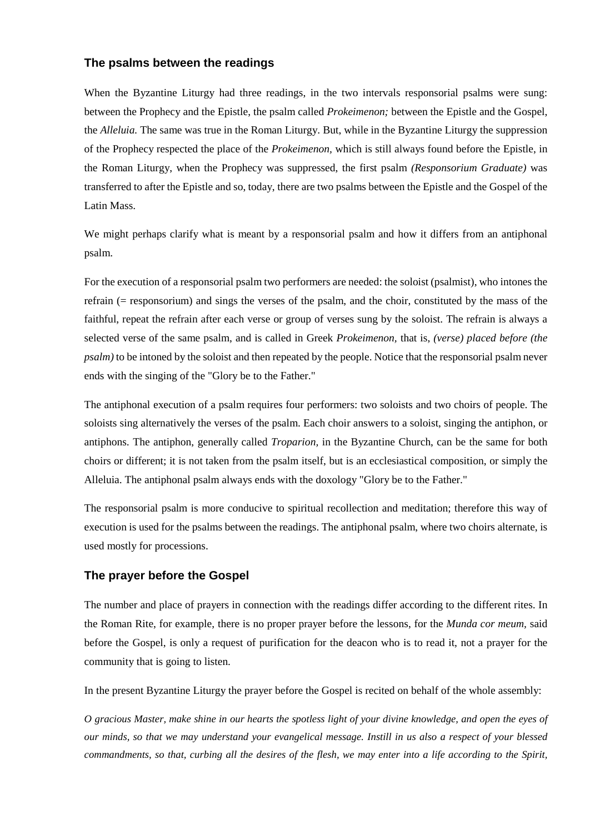## **The psalms between the readings**

When the Byzantine Liturgy had three readings, in the two intervals responsorial psalms were sung: between the Prophecy and the Epistle, the psalm called *Prokeimenon;* between the Epistle and the Gospel, the *Alleluia.* The same was true in the Roman Liturgy. But, while in the Byzantine Liturgy the suppression of the Prophecy respected the place of the *Prokeimenon,* which is still always found before the Epistle, in the Roman Liturgy, when the Prophecy was suppressed, the first psalm *(Responsorium Graduate)* was transferred to after the Epistle and so, today, there are two psalms between the Epistle and the Gospel of the Latin Mass.

We might perhaps clarify what is meant by a responsorial psalm and how it differs from an antiphonal psalm.

For the execution of a responsorial psalm two performers are needed: the soloist (psalmist), who intones the refrain (= responsorium) and sings the verses of the psalm, and the choir, constituted by the mass of the faithful, repeat the refrain after each verse or group of verses sung by the soloist. The refrain is always a selected verse of the same psalm, and is called in Greek *Prokeimenon,* that is, *(verse) placed before (the psalm)* to be intoned by the soloist and then repeated by the people. Notice that the responsorial psalm never ends with the singing of the "Glory be to the Father."

The antiphonal execution of a psalm requires four performers: two soloists and two choirs of people. The soloists sing alternatively the verses of the psalm. Each choir answers to a soloist, singing the antiphon, or antiphons. The antiphon, generally called *Troparion,* in the Byzantine Church, can be the same for both choirs or different; it is not taken from the psalm itself, but is an ecclesiastical composition, or simply the Alleluia. The antiphonal psalm always ends with the doxology "Glory be to the Father."

The responsorial psalm is more conducive to spiritual recollection and meditation; therefore this way of execution is used for the psalms between the readings. The antiphonal psalm, where two choirs alternate, is used mostly for processions.

## **The prayer before the Gospel**

The number and place of prayers in connection with the readings differ according to the different rites. In the Roman Rite, for example, there is no proper prayer before the lessons, for the *Munda cor meum,* said before the Gospel, is only a request of purification for the deacon who is to read it, not a prayer for the community that is going to listen.

In the present Byzantine Liturgy the prayer before the Gospel is recited on behalf of the whole assembly:

*O gracious Master, make shine in our hearts the spotless light of your divine knowledge, and open the eyes of our minds, so that we may understand your evangelical message. Instill in us also a respect of your blessed*  commandments, so that, curbing all the desires of the flesh, we may enter into a life according to the Spirit,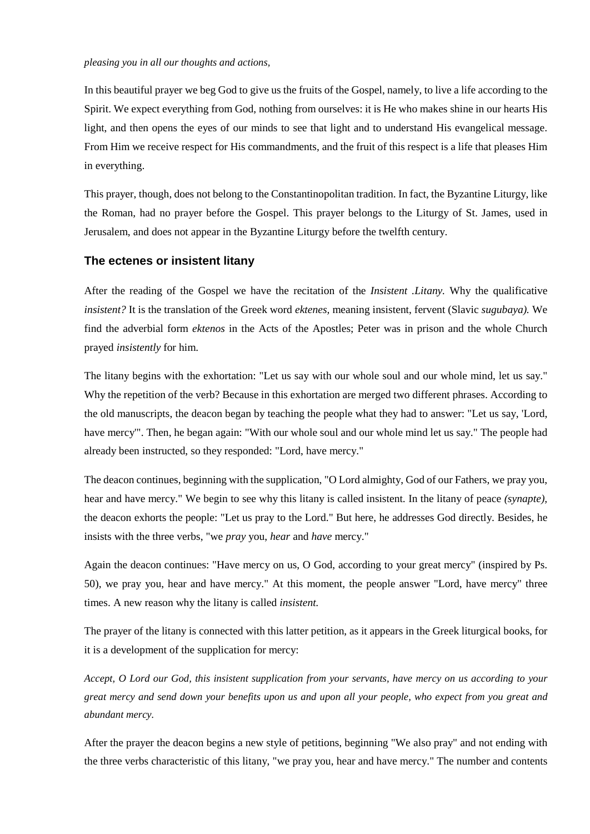#### *pleasing you in all our thoughts and actions,*

In this beautiful prayer we beg God to give us the fruits of the Gospel, namely, to live a life according to the Spirit. We expect everything from God, nothing from ourselves: it is He who makes shine in our hearts His light, and then opens the eyes of our minds to see that light and to understand His evangelical message. From Him we receive respect for His commandments, and the fruit of this respect is a life that pleases Him in everything.

This prayer, though, does not belong to the Constantinopolitan tradition. In fact, the Byzantine Liturgy, like the Roman, had no prayer before the Gospel. This prayer belongs to the Liturgy of St. James, used in Jerusalem, and does not appear in the Byzantine Liturgy before the twelfth century.

## **The ectenes or insistent litany**

After the reading of the Gospel we have the recitation of the *Insistent .Litany.* Why the qualificative *insistent?* It is the translation of the Greek word *ektenes,* meaning insistent, fervent (Slavic *sugubaya).* We find the adverbial form *ektenos* in the Acts of the Apostles; Peter was in prison and the whole Church prayed *insistently* for him.

The litany begins with the exhortation: "Let us say with our whole soul and our whole mind, let us say." Why the repetition of the verb? Because in this exhortation are merged two different phrases. According to the old manuscripts, the deacon began by teaching the people what they had to answer: "Let us say, 'Lord, have mercy'". Then, he began again: "With our whole soul and our whole mind let us say." The people had already been instructed, so they responded: "Lord, have mercy."

The deacon continues, beginning with the supplication, "O Lord almighty, God of our Fathers, we pray you, hear and have mercy." We begin to see why this litany is called insistent. In the litany of peace *(synapte),*  the deacon exhorts the people: "Let us pray to the Lord." But here, he addresses God directly. Besides, he insists with the three verbs, "we *pray* you, *hear* and *have* mercy."

Again the deacon continues: "Have mercy on us, O God, according to your great mercy" (inspired by Ps. 50), we pray you, hear and have mercy." At this moment, the people answer "Lord, have mercy" three times. A new reason why the litany is called *insistent.*

The prayer of the litany is connected with this latter petition, as it appears in the Greek liturgical books, for it is a development of the supplication for mercy:

*Accept, O Lord our God, this insistent supplication from your servants, have mercy on us according to your great mercy and send down your benefits upon us and upon all your people, who expect from you great and abundant mercy.*

After the prayer the deacon begins a new style of petitions, beginning "We also pray" and not ending with the three verbs characteristic of this litany, "we pray you, hear and have mercy." The number and contents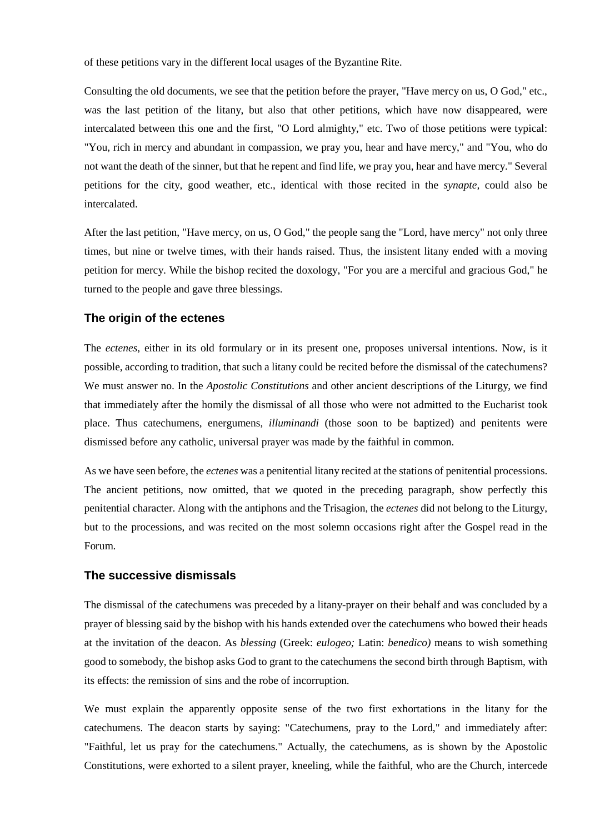of these petitions vary in the different local usages of the Byzantine Rite.

Consulting the old documents, we see that the petition before the prayer, "Have mercy on us, O God," etc., was the last petition of the litany, but also that other petitions, which have now disappeared, were intercalated between this one and the first, "O Lord almighty," etc. Two of those petitions were typical: "You, rich in mercy and abundant in compassion, we pray you, hear and have mercy," and "You, who do not want the death of the sinner, but that he repent and find life, we pray you, hear and have mercy." Several petitions for the city, good weather, etc., identical with those recited in the *synapte,* could also be intercalated.

After the last petition, "Have mercy, on us, O God," the people sang the "Lord, have mercy" not only three times, but nine or twelve times, with their hands raised. Thus, the insistent litany ended with a moving petition for mercy. While the bishop recited the doxology, "For you are a merciful and gracious God," he turned to the people and gave three blessings.

## **The origin of the ectenes**

The *ectenes,* either in its old formulary or in its present one, proposes universal intentions. Now, is it possible, according to tradition, that such a litany could be recited before the dismissal of the catechumens? We must answer no. In the *Apostolic Constitutions* and other ancient descriptions of the Liturgy, we find that immediately after the homily the dismissal of all those who were not admitted to the Eucharist took place. Thus catechumens, energumens, *illuminandi* (those soon to be baptized) and penitents were dismissed before any catholic, universal prayer was made by the faithful in common.

As we have seen before, the *ectenes* was a penitential litany recited at the stations of penitential processions. The ancient petitions, now omitted, that we quoted in the preceding paragraph, show perfectly this penitential character. Along with the antiphons and the Trisagion, the *ectenes* did not belong to the Liturgy, but to the processions, and was recited on the most solemn occasions right after the Gospel read in the Forum.

## **The successive dismissals**

The dismissal of the catechumens was preceded by a litany-prayer on their behalf and was concluded by a prayer of blessing said by the bishop with his hands extended over the catechumens who bowed their heads at the invitation of the deacon. As *blessing* (Greek: *eulogeo;* Latin: *benedico)* means to wish something good to somebody, the bishop asks God to grant to the catechumens the second birth through Baptism, with its effects: the remission of sins and the robe of incorruption.

We must explain the apparently opposite sense of the two first exhortations in the litany for the catechumens. The deacon starts by saying: "Catechumens, pray to the Lord," and immediately after: "Faithful, let us pray for the catechumens." Actually, the catechumens, as is shown by the Apostolic Constitutions, were exhorted to a silent prayer, kneeling, while the faithful, who are the Church, intercede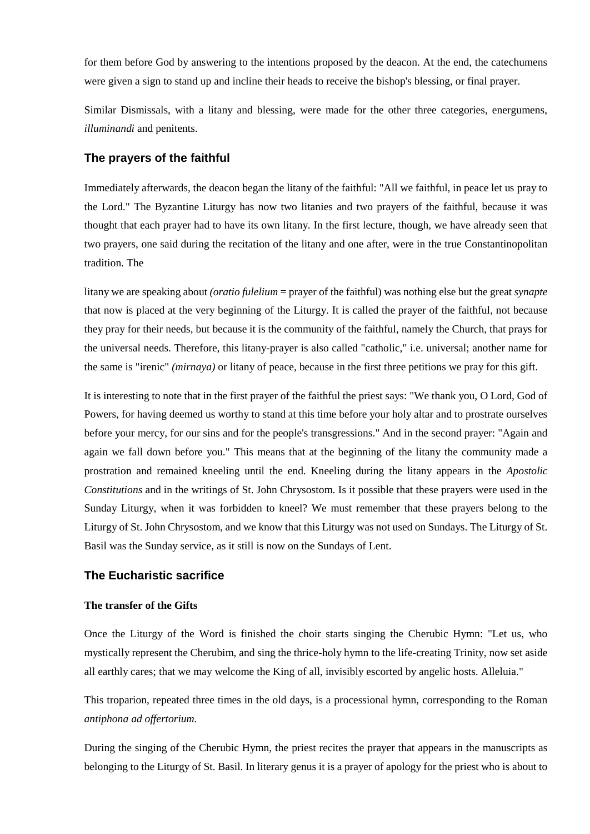for them before God by answering to the intentions proposed by the deacon. At the end, the catechumens were given a sign to stand up and incline their heads to receive the bishop's blessing, or final prayer.

Similar Dismissals, with a litany and blessing, were made for the other three categories, energumens, *illuminandi* and penitents.

## **The prayers of the faithful**

Immediately afterwards, the deacon began the litany of the faithful: "All we faithful, in peace let us pray to the Lord." The Byzantine Liturgy has now two litanies and two prayers of the faithful, because it was thought that each prayer had to have its own litany. In the first lecture, though, we have already seen that two prayers, one said during the recitation of the litany and one after, were in the true Constantinopolitan tradition. The

litany we are speaking about *(oratio fulelium* = prayer of the faithful) was nothing else but the great *synapte*  that now is placed at the very beginning of the Liturgy. It is called the prayer of the faithful, not because they pray for their needs, but because it is the community of the faithful, namely the Church, that prays for the universal needs. Therefore, this litany-prayer is also called "catholic," i.e. universal; another name for the same is "irenic" *(mirnaya)* or litany of peace, because in the first three petitions we pray for this gift.

It is interesting to note that in the first prayer of the faithful the priest says: "We thank you, O Lord, God of Powers, for having deemed us worthy to stand at this time before your holy altar and to prostrate ourselves before your mercy, for our sins and for the people's transgressions." And in the second prayer: "Again and again we fall down before you." This means that at the beginning of the litany the community made a prostration and remained kneeling until the end. Kneeling during the litany appears in the *Apostolic Constitutions* and in the writings of St. John Chrysostom. Is it possible that these prayers were used in the Sunday Liturgy, when it was forbidden to kneel? We must remember that these prayers belong to the Liturgy of St. John Chrysostom, and we know that this Liturgy was not used on Sundays. The Liturgy of St. Basil was the Sunday service, as it still is now on the Sundays of Lent.

## **The Eucharistic sacrifice**

## **The transfer of the Gifts**

Once the Liturgy of the Word is finished the choir starts singing the Cherubic Hymn: "Let us, who mystically represent the Cherubim, and sing the thrice-holy hymn to the life-creating Trinity, now set aside all earthly cares; that we may welcome the King of all, invisibly escorted by angelic hosts. Alleluia."

This troparion, repeated three times in the old days, is a processional hymn, corresponding to the Roman *antiphona ad offertorium.*

During the singing of the Cherubic Hymn, the priest recites the prayer that appears in the manuscripts as belonging to the Liturgy of St. Basil. In literary genus it is a prayer of apology for the priest who is about to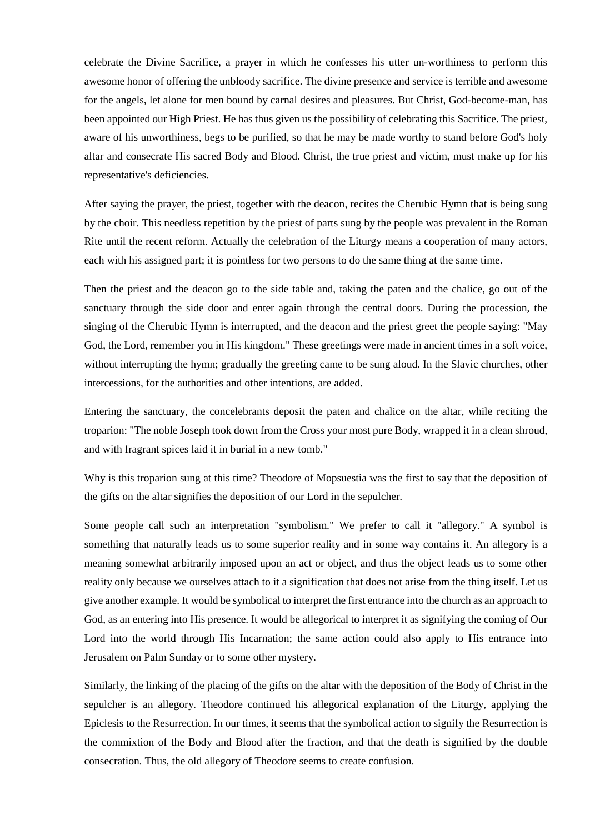celebrate the Divine Sacrifice, a prayer in which he confesses his utter un-worthiness to perform this awesome honor of offering the unbloody sacrifice. The divine presence and service is terrible and awesome for the angels, let alone for men bound by carnal desires and pleasures. But Christ, God-become-man, has been appointed our High Priest. He has thus given us the possibility of celebrating this Sacrifice. The priest, aware of his unworthiness, begs to be purified, so that he may be made worthy to stand before God's holy altar and consecrate His sacred Body and Blood. Christ, the true priest and victim, must make up for his representative's deficiencies.

After saying the prayer, the priest, together with the deacon, recites the Cherubic Hymn that is being sung by the choir. This needless repetition by the priest of parts sung by the people was prevalent in the Roman Rite until the recent reform. Actually the celebration of the Liturgy means a cooperation of many actors, each with his assigned part; it is pointless for two persons to do the same thing at the same time.

Then the priest and the deacon go to the side table and, taking the paten and the chalice, go out of the sanctuary through the side door and enter again through the central doors. During the procession, the singing of the Cherubic Hymn is interrupted, and the deacon and the priest greet the people saying: "May God, the Lord, remember you in His kingdom." These greetings were made in ancient times in a soft voice, without interrupting the hymn; gradually the greeting came to be sung aloud. In the Slavic churches, other intercessions, for the authorities and other intentions, are added.

Entering the sanctuary, the concelebrants deposit the paten and chalice on the altar, while reciting the troparion: "The noble Joseph took down from the Cross your most pure Body, wrapped it in a clean shroud, and with fragrant spices laid it in burial in a new tomb."

Why is this troparion sung at this time? Theodore of Mopsuestia was the first to say that the deposition of the gifts on the altar signifies the deposition of our Lord in the sepulcher.

Some people call such an interpretation "symbolism." We prefer to call it "allegory." A symbol is something that naturally leads us to some superior reality and in some way contains it. An allegory is a meaning somewhat arbitrarily imposed upon an act or object, and thus the object leads us to some other reality only because we ourselves attach to it a signification that does not arise from the thing itself. Let us give another example. It would be symbolical to interpret the first entrance into the church as an approach to God, as an entering into His presence. It would be allegorical to interpret it as signifying the coming of Our Lord into the world through His Incarnation; the same action could also apply to His entrance into Jerusalem on Palm Sunday or to some other mystery.

Similarly, the linking of the placing of the gifts on the altar with the deposition of the Body of Christ in the sepulcher is an allegory. Theodore continued his allegorical explanation of the Liturgy, applying the Epiclesis to the Resurrection. In our times, it seems that the symbolical action to signify the Resurrection is the commixtion of the Body and Blood after the fraction, and that the death is signified by the double consecration. Thus, the old allegory of Theodore seems to create confusion.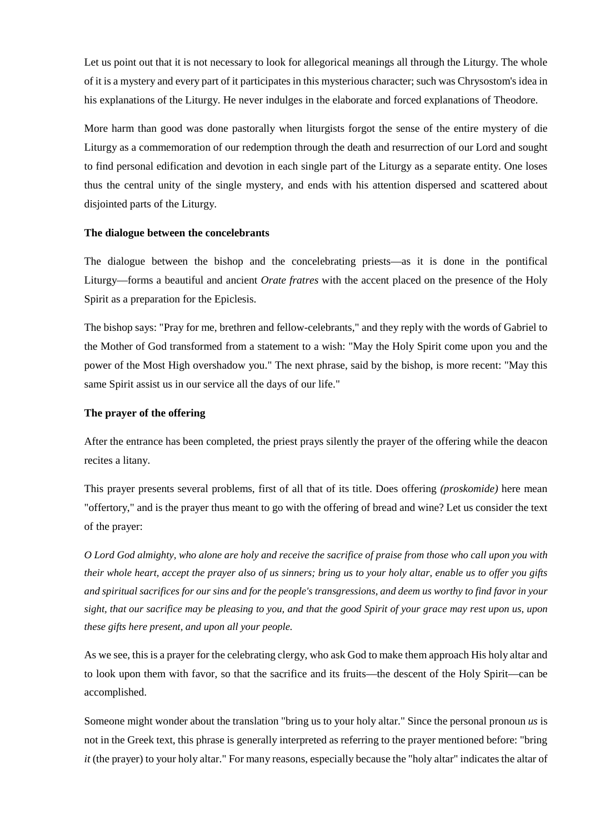Let us point out that it is not necessary to look for allegorical meanings all through the Liturgy. The whole of it is a mystery and every part of it participates in this mysterious character; such was Chrysostom's idea in his explanations of the Liturgy. He never indulges in the elaborate and forced explanations of Theodore.

More harm than good was done pastorally when liturgists forgot the sense of the entire mystery of die Liturgy as a commemoration of our redemption through the death and resurrection of our Lord and sought to find personal edification and devotion in each single part of the Liturgy as a separate entity. One loses thus the central unity of the single mystery, and ends with his attention dispersed and scattered about disjointed parts of the Liturgy.

## **The dialogue between the concelebrants**

The dialogue between the bishop and the concelebrating priests—as it is done in the pontifical Liturgy—forms a beautiful and ancient *Orate fratres* with the accent placed on the presence of the Holy Spirit as a preparation for the Epiclesis.

The bishop says: "Pray for me, brethren and fellow-celebrants," and they reply with the words of Gabriel to the Mother of God transformed from a statement to a wish: "May the Holy Spirit come upon you and the power of the Most High overshadow you." The next phrase, said by the bishop, is more recent: "May this same Spirit assist us in our service all the days of our life."

#### **The prayer of the offering**

After the entrance has been completed, the priest prays silently the prayer of the offering while the deacon recites a litany.

This prayer presents several problems, first of all that of its title. Does offering *(proskomide)* here mean "offertory," and is the prayer thus meant to go with the offering of bread and wine? Let us consider the text of the prayer:

*O Lord God almighty, who alone are holy and receive the sacrifice of praise from those who call upon you with their whole heart, accept the prayer also of us sinners; bring us to your holy altar, enable us to offer you gifts and spiritual sacrifices for our sins and for the people's transgressions, and deem us worthy to find favor in your sight, that our sacrifice may be pleasing to you, and that the good Spirit of your grace may rest upon us, upon these gifts here present, and upon all your people.*

As we see, this is a prayer for the celebrating clergy, who ask God to make them approach His holy altar and to look upon them with favor, so that the sacrifice and its fruits—the descent of the Holy Spirit—can be accomplished.

Someone might wonder about the translation "bring us to your holy altar." Since the personal pronoun *us* is not in the Greek text, this phrase is generally interpreted as referring to the prayer mentioned before: "bring *it* (the prayer) to your holy altar." For many reasons, especially because the "holy altar" indicates the altar of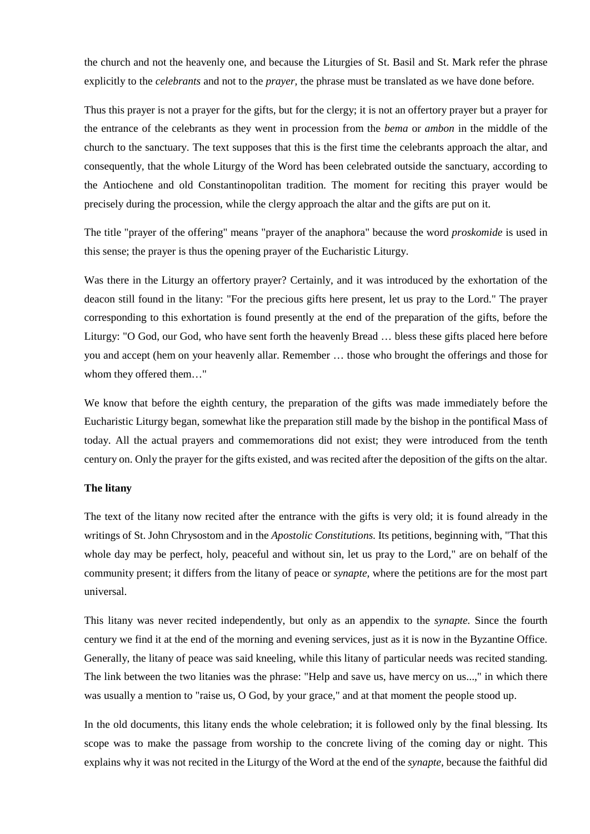the church and not the heavenly one, and because the Liturgies of St. Basil and St. Mark refer the phrase explicitly to the *celebrants* and not to the *prayer,* the phrase must be translated as we have done before.

Thus this prayer is not a prayer for the gifts, but for the clergy; it is not an offertory prayer but a prayer for the entrance of the celebrants as they went in procession from the *bema* or *ambon* in the middle of the church to the sanctuary. The text supposes that this is the first time the celebrants approach the altar, and consequently, that the whole Liturgy of the Word has been celebrated outside the sanctuary, according to the Antiochene and old Constantinopolitan tradition. The moment for reciting this prayer would be precisely during the procession, while the clergy approach the altar and the gifts are put on it.

The title "prayer of the offering" means "prayer of the anaphora" because the word *proskomide* is used in this sense; the prayer is thus the opening prayer of the Eucharistic Liturgy.

Was there in the Liturgy an offertory prayer? Certainly, and it was introduced by the exhortation of the deacon still found in the litany: "For the precious gifts here present, let us pray to the Lord." The prayer corresponding to this exhortation is found presently at the end of the preparation of the gifts, before the Liturgy: "O God, our God, who have sent forth the heavenly Bread … bless these gifts placed here before you and accept (hem on your heavenly allar. Remember … those who brought the offerings and those for whom they offered them…"

We know that before the eighth century, the preparation of the gifts was made immediately before the Eucharistic Liturgy began, somewhat like the preparation still made by the bishop in the pontifical Mass of today. All the actual prayers and commemorations did not exist; they were introduced from the tenth century on. Only the prayer for the gifts existed, and was recited after the deposition of the gifts on the altar.

#### **The litany**

The text of the litany now recited after the entrance with the gifts is very old; it is found already in the writings of St. John Chrysostom and in the *Apostolic Constitutions.* Its petitions, beginning with, "That this whole day may be perfect, holy, peaceful and without sin, let us pray to the Lord," are on behalf of the community present; it differs from the litany of peace or *synapte,* where the petitions are for the most part universal.

This litany was never recited independently, but only as an appendix to the *synapte.* Since the fourth century we find it at the end of the morning and evening services, just as it is now in the Byzantine Office. Generally, the litany of peace was said kneeling, while this litany of particular needs was recited standing. The link between the two litanies was the phrase: "Help and save us, have mercy on us...," in which there was usually a mention to "raise us, O God, by your grace," and at that moment the people stood up.

In the old documents, this litany ends the whole celebration; it is followed only by the final blessing. Its scope was to make the passage from worship to the concrete living of the coming day or night. This explains why it was not recited in the Liturgy of the Word at the end of the *synapte,* because the faithful did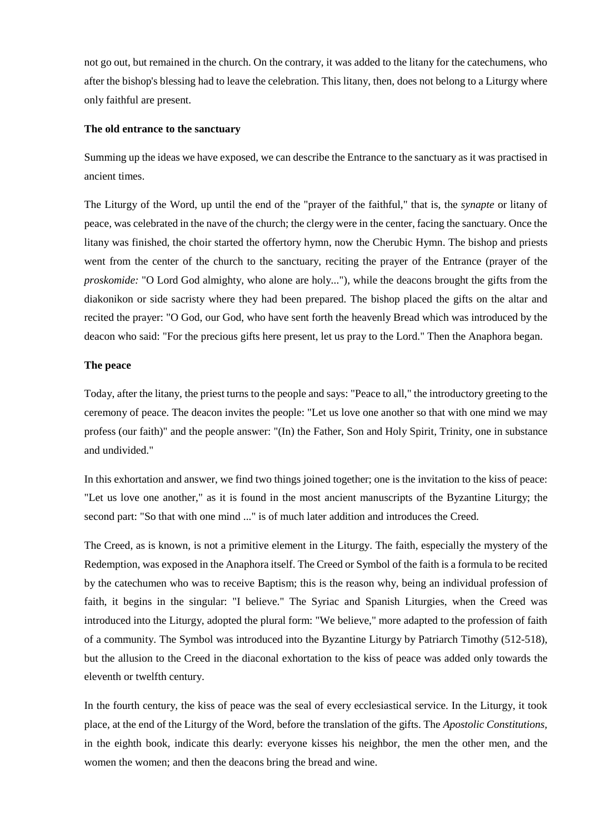not go out, but remained in the church. On the contrary, it was added to the litany for the catechumens, who after the bishop's blessing had to leave the celebration. This litany, then, does not belong to a Liturgy where only faithful are present.

#### **The old entrance to the sanctuary**

Summing up the ideas we have exposed, we can describe the Entrance to the sanctuary as it was practised in ancient times.

The Liturgy of the Word, up until the end of the "prayer of the faithful," that is, the *synapte* or litany of peace, was celebrated in the nave of the church; the clergy were in the center, facing the sanctuary. Once the litany was finished, the choir started the offertory hymn, now the Cherubic Hymn. The bishop and priests went from the center of the church to the sanctuary, reciting the prayer of the Entrance (prayer of the *proskomide:* "O Lord God almighty, who alone are holy..."), while the deacons brought the gifts from the diakonikon or side sacristy where they had been prepared. The bishop placed the gifts on the altar and recited the prayer: "O God, our God, who have sent forth the heavenly Bread which was introduced by the deacon who said: "For the precious gifts here present, let us pray to the Lord." Then the Anaphora began.

## **The peace**

Today, after the litany, the priest turns to the people and says: "Peace to all," the introductory greeting to the ceremony of peace. The deacon invites the people: "Let us love one another so that with one mind we may profess (our faith)" and the people answer: "(In) the Father, Son and Holy Spirit, Trinity, one in substance and undivided."

In this exhortation and answer, we find two things joined together; one is the invitation to the kiss of peace: "Let us love one another," as it is found in the most ancient manuscripts of the Byzantine Liturgy; the second part: "So that with one mind ..." is of much later addition and introduces the Creed.

The Creed, as is known, is not a primitive element in the Liturgy. The faith, especially the mystery of the Redemption, was exposed in the Anaphora itself. The Creed or Symbol of the faith is a formula to be recited by the catechumen who was to receive Baptism; this is the reason why, being an individual profession of faith, it begins in the singular: "I believe." The Syriac and Spanish Liturgies, when the Creed was introduced into the Liturgy, adopted the plural form: "We believe," more adapted to the profession of faith of a community. The Symbol was introduced into the Byzantine Liturgy by Patriarch Timothy (512-518), but the allusion to the Creed in the diaconal exhortation to the kiss of peace was added only towards the eleventh or twelfth century.

In the fourth century, the kiss of peace was the seal of every ecclesiastical service. In the Liturgy, it took place, at the end of the Liturgy of the Word, before the translation of the gifts. The *Apostolic Constitutions,*  in the eighth book, indicate this dearly: everyone kisses his neighbor, the men the other men, and the women the women; and then the deacons bring the bread and wine.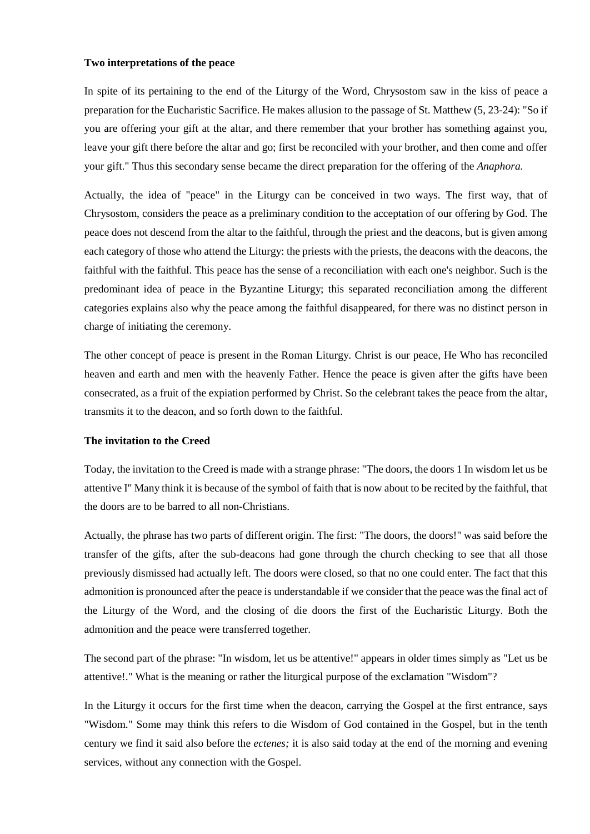#### **Two interpretations of the peace**

In spite of its pertaining to the end of the Liturgy of the Word, Chrysostom saw in the kiss of peace a preparation for the Eucharistic Sacrifice. He makes allusion to the passage of St. Matthew (5, 23-24): "So if you are offering your gift at the altar, and there remember that your brother has something against you, leave your gift there before the altar and go; first be reconciled with your brother, and then come and offer your gift." Thus this secondary sense became the direct preparation for the offering of the *Anaphora.*

Actually, the idea of "peace" in the Liturgy can be conceived in two ways. The first way, that of Chrysostom, considers the peace as a preliminary condition to the acceptation of our offering by God. The peace does not descend from the altar to the faithful, through the priest and the deacons, but is given among each category of those who attend the Liturgy: the priests with the priests, the deacons with the deacons, the faithful with the faithful. This peace has the sense of a reconciliation with each one's neighbor. Such is the predominant idea of peace in the Byzantine Liturgy; this separated reconciliation among the different categories explains also why the peace among the faithful disappeared, for there was no distinct person in charge of initiating the ceremony.

The other concept of peace is present in the Roman Liturgy. Christ is our peace, He Who has reconciled heaven and earth and men with the heavenly Father. Hence the peace is given after the gifts have been consecrated, as a fruit of the expiation performed by Christ. So the celebrant takes the peace from the altar, transmits it to the deacon, and so forth down to the faithful.

## **The invitation to the Creed**

Today, the invitation to the Creed is made with a strange phrase: "The doors, the doors 1 In wisdom let us be attentive I" Many think it is because of the symbol of faith that is now about to be recited by the faithful, that the doors are to be barred to all non-Christians.

Actually, the phrase has two parts of different origin. The first: "The doors, the doors!" was said before the transfer of the gifts, after the sub-deacons had gone through the church checking to see that all those previously dismissed had actually left. The doors were closed, so that no one could enter. The fact that this admonition is pronounced after the peace is understandable if we consider that the peace was the final act of the Liturgy of the Word, and the closing of die doors the first of the Eucharistic Liturgy. Both the admonition and the peace were transferred together.

The second part of the phrase: "In wisdom, let us be attentive!" appears in older times simply as "Let us be attentive!." What is the meaning or rather the liturgical purpose of the exclamation "Wisdom"?

In the Liturgy it occurs for the first time when the deacon, carrying the Gospel at the first entrance, says "Wisdom." Some may think this refers to die Wisdom of God contained in the Gospel, but in the tenth century we find it said also before the *ectenes;* it is also said today at the end of the morning and evening services, without any connection with the Gospel.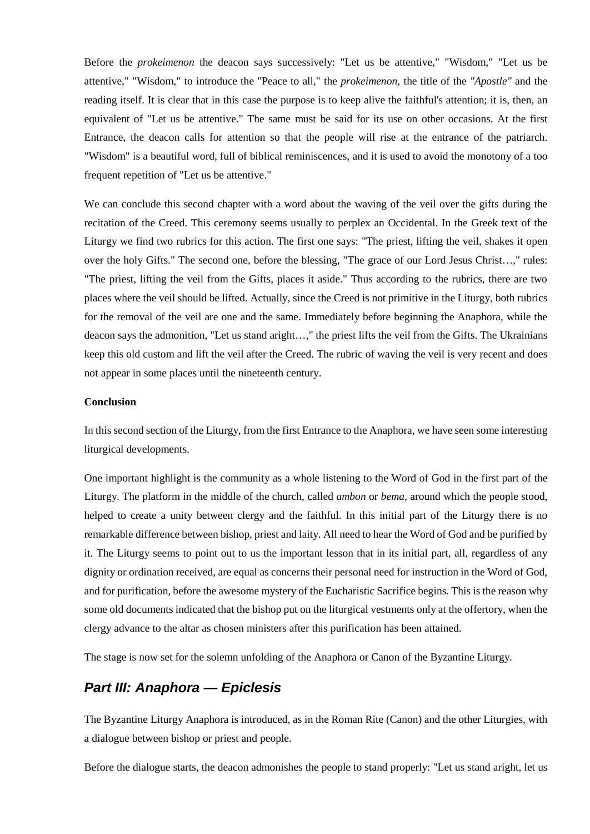Before the *prokeimenon* the deacon says successively: "Let us be attentive," "Wisdom," "Let us be attentive," "Wisdom," to introduce the "Peace to all," the *prokeimenon,* the title of the *"Apostle"* and the reading itself. It is clear that in this case the purpose is to keep alive the faithful's attention; it is, then, an equivalent of "Let us be attentive." The same must be said for its use on other occasions. At the first Entrance, the deacon calls for attention so that the people will rise at the entrance of the patriarch. "Wisdom" is a beautiful word, full of biblical reminiscences, and it is used to avoid the monotony of a too frequent repetition of "Let us be attentive."

We can conclude this second chapter with a word about the waving of the veil over the gifts during the recitation of the Creed. This ceremony seems usually to perplex an Occidental. In the Greek text of the Liturgy we find two rubrics for this action. The first one says: "The priest, lifting the veil, shakes it open over the holy Gifts." The second one, before the blessing, "The grace of our Lord Jesus Christ…," rules: "The priest, lifting the veil from the Gifts, places it aside." Thus according to the rubrics, there are two places where the veil should be lifted. Actually, since the Creed is not primitive in the Liturgy, both rubrics for the removal of the veil are one and the same. Immediately before beginning the Anaphora, while the deacon says the admonition, "Let us stand aright…," the priest lifts the veil from the Gifts. The Ukrainians keep this old custom and lift the veil after the Creed. The rubric of waving the veil is very recent and does not appear in some places until the nineteenth century.

## **Conclusion**

In this second section of the Liturgy, from the first Entrance to the Anaphora, we have seen some interesting liturgical developments.

One important highlight is the community as a whole listening to the Word of God in the first part of the Liturgy. The platform in the middle of the church, called *ambon* or *bema,* around which the people stood, helped to create a unity between clergy and the faithful. In this initial part of the Liturgy there is no remarkable difference between bishop, priest and laity. All need to hear the Word of God and be purified by it. The Liturgy seems to point out to us the important lesson that in its initial part, all, regardless of any dignity or ordination received, are equal as concerns their personal need for instruction in the Word of God, and for purification, before the awesome mystery of the Eucharistic Sacrifice begins. This is the reason why some old documents indicated that the bishop put on the liturgical vestments only at the offertory, when the clergy advance to the altar as chosen ministers after this purification has been attained.

The stage is now set for the solemn unfolding of the Anaphora or Canon of the Byzantine Liturgy.

## *Part III: Anaphora — Epiclesis*

The Byzantine Liturgy Anaphora is introduced, as in the Roman Rite (Canon) and the other Liturgies, with a dialogue between bishop or priest and people.

Before the dialogue starts, the deacon admonishes the people to stand properly: "Let us stand aright, let us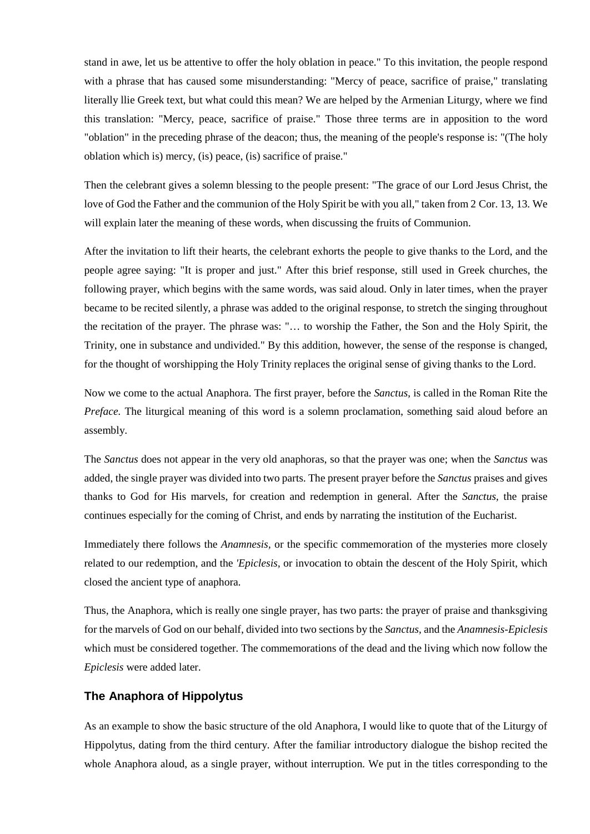stand in awe, let us be attentive to offer the holy oblation in peace." To this invitation, the people respond with a phrase that has caused some misunderstanding: "Mercy of peace, sacrifice of praise," translating literally llie Greek text, but what could this mean? We are helped by the Armenian Liturgy, where we find this translation: "Mercy, peace, sacrifice of praise." Those three terms are in apposition to the word "oblation" in the preceding phrase of the deacon; thus, the meaning of the people's response is: "(The holy oblation which is) mercy, (is) peace, (is) sacrifice of praise."

Then the celebrant gives a solemn blessing to the people present: "The grace of our Lord Jesus Christ, the love of God the Father and the communion of the Holy Spirit be with you all," taken from 2 Cor. 13, 13. We will explain later the meaning of these words, when discussing the fruits of Communion.

After the invitation to lift their hearts, the celebrant exhorts the people to give thanks to the Lord, and the people agree saying: "It is proper and just." After this brief response, still used in Greek churches, the following prayer, which begins with the same words, was said aloud. Only in later times, when the prayer became to be recited silently, a phrase was added to the original response, to stretch the singing throughout the recitation of the prayer. The phrase was: "… to worship the Father, the Son and the Holy Spirit, the Trinity, one in substance and undivided." By this addition, however, the sense of the response is changed, for the thought of worshipping the Holy Trinity replaces the original sense of giving thanks to the Lord.

Now we come to the actual Anaphora. The first prayer, before the *Sanctus,* is called in the Roman Rite the *Preface.* The liturgical meaning of this word is a solemn proclamation, something said aloud before an assembly.

The *Sanctus* does not appear in the very old anaphoras, so that the prayer was one; when the *Sanctus* was added, the single prayer was divided into two parts. The present prayer before the *Sanctus* praises and gives thanks to God for His marvels, for creation and redemption in general. After the *Sanctus,* the praise continues especially for the coming of Christ, and ends by narrating the institution of the Eucharist.

Immediately there follows the *Anamnesis,* or the specific commemoration of the mysteries more closely related to our redemption, and the *'Epiclesis,* or invocation to obtain the descent of the Holy Spirit, which closed the ancient type of anaphora.

Thus, the Anaphora, which is really one single prayer, has two parts: the prayer of praise and thanksgiving for the marvels of God on our behalf, divided into two sections by the *Sanctus,* and the *Anamnesis-Epiclesis*  which must be considered together. The commemorations of the dead and the living which now follow the *Epiclesis* were added later.

## **The Anaphora of Hippolytus**

As an example to show the basic structure of the old Anaphora, I would like to quote that of the Liturgy of Hippolytus, dating from the third century. After the familiar introductory dialogue the bishop recited the whole Anaphora aloud, as a single prayer, without interruption. We put in the titles corresponding to the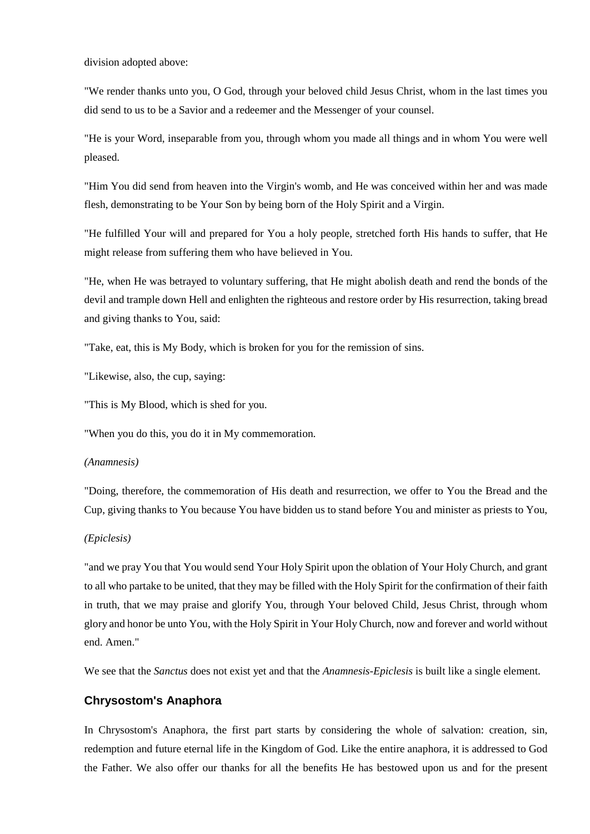division adopted above:

"We render thanks unto you, O God, through your beloved child Jesus Christ, whom in the last times you did send to us to be a Savior and a redeemer and the Messenger of your counsel.

"He is your Word, inseparable from you, through whom you made all things and in whom You were well pleased.

"Him You did send from heaven into the Virgin's womb, and He was conceived within her and was made flesh, demonstrating to be Your Son by being born of the Holy Spirit and a Virgin.

"He fulfilled Your will and prepared for You a holy people, stretched forth His hands to suffer, that He might release from suffering them who have believed in You.

"He, when He was betrayed to voluntary suffering, that He might abolish death and rend the bonds of the devil and trample down Hell and enlighten the righteous and restore order by His resurrection, taking bread and giving thanks to You, said:

"Take, eat, this is My Body, which is broken for you for the remission of sins.

"Likewise, also, the cup, saying:

"This is My Blood, which is shed for you.

"When you do this, you do it in My commemoration.

#### *(Anamnesis)*

"Doing, therefore, the commemoration of His death and resurrection, we offer to You the Bread and the Cup, giving thanks to You because You have bidden us to stand before You and minister as priests to You,

#### *(Epiclesis)*

"and we pray You that You would send Your Holy Spirit upon the oblation of Your Holy Church, and grant to all who partake to be united, that they may be filled with the Holy Spirit for the confirmation of their faith in truth, that we may praise and glorify You, through Your beloved Child, Jesus Christ, through whom glory and honor be unto You, with the Holy Spirit in Your Holy Church, now and forever and world without end. Amen."

We see that the *Sanctus* does not exist yet and that the *Anamnesis-Epiclesis* is built like a single element.

## **Chrysostom's Anaphora**

In Chrysostom's Anaphora, the first part starts by considering the whole of salvation: creation, sin, redemption and future eternal life in the Kingdom of God. Like the entire anaphora, it is addressed to God the Father. We also offer our thanks for all the benefits He has bestowed upon us and for the present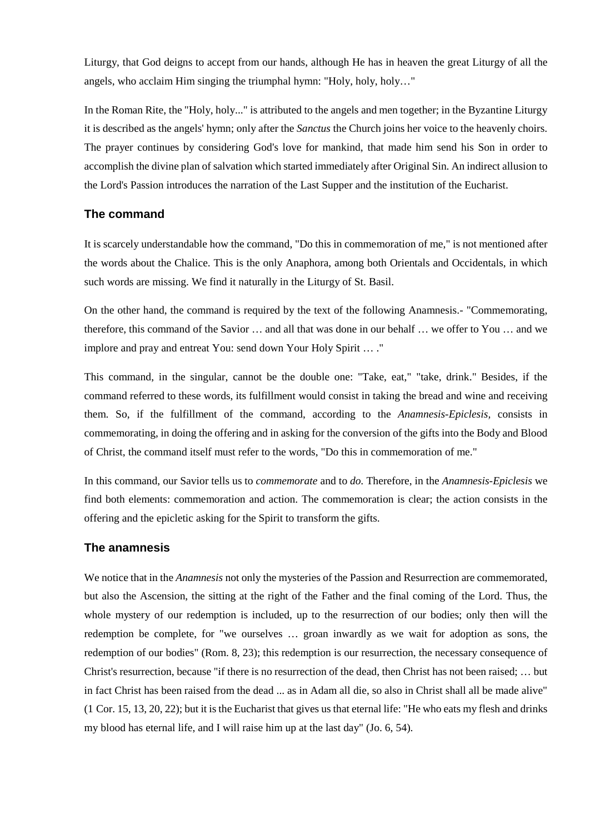Liturgy, that God deigns to accept from our hands, although He has in heaven the great Liturgy of all the angels, who acclaim Him singing the triumphal hymn: "Holy, holy, holy…"

In the Roman Rite, the "Holy, holy..." is attributed to the angels and men together; in the Byzantine Liturgy it is described as the angels' hymn; only after the *Sanctus* the Church joins her voice to the heavenly choirs. The prayer continues by considering God's love for mankind, that made him send his Son in order to accomplish the divine plan of salvation which started immediately after Original Sin. An indirect allusion to the Lord's Passion introduces the narration of the Last Supper and the institution of the Eucharist.

## **The command**

It is scarcely understandable how the command, "Do this in commemoration of me," is not mentioned after the words about the Chalice. This is the only Anaphora, among both Orientals and Occidentals, in which such words are missing. We find it naturally in the Liturgy of St. Basil.

On the other hand, the command is required by the text of the following Anamnesis.- "Commemorating, therefore, this command of the Savior … and all that was done in our behalf … we offer to You … and we implore and pray and entreat You: send down Your Holy Spirit … ."

This command, in the singular, cannot be the double one: "Take, eat," "take, drink." Besides, if the command referred to these words, its fulfillment would consist in taking the bread and wine and receiving them. So, if the fulfillment of the command, according to the *Anamnesis-Epiclesis,* consists in commemorating, in doing the offering and in asking for the conversion of the gifts into the Body and Blood of Christ, the command itself must refer to the words, "Do this in commemoration of me."

In this command, our Savior tells us to *commemorate* and to *do.* Therefore, in the *Anamnesis-Epiclesis* we find both elements: commemoration and action. The commemoration is clear; the action consists in the offering and the epicletic asking for the Spirit to transform the gifts.

## **The anamnesis**

We notice that in the *Anamnesis* not only the mysteries of the Passion and Resurrection are commemorated, but also the Ascension, the sitting at the right of the Father and the final coming of the Lord. Thus, the whole mystery of our redemption is included, up to the resurrection of our bodies; only then will the redemption be complete, for "we ourselves … groan inwardly as we wait for adoption as sons, the redemption of our bodies" (Rom. 8, 23); this redemption is our resurrection, the necessary consequence of Christ's resurrection, because "if there is no resurrection of the dead, then Christ has not been raised; … but in fact Christ has been raised from the dead ... as in Adam all die, so also in Christ shall all be made alive" (1 Cor. 15, 13, 20, 22); but it is the Eucharist that gives us that eternal life: "He who eats my flesh and drinks my blood has eternal life, and I will raise him up at the last day" (Jo. 6, 54).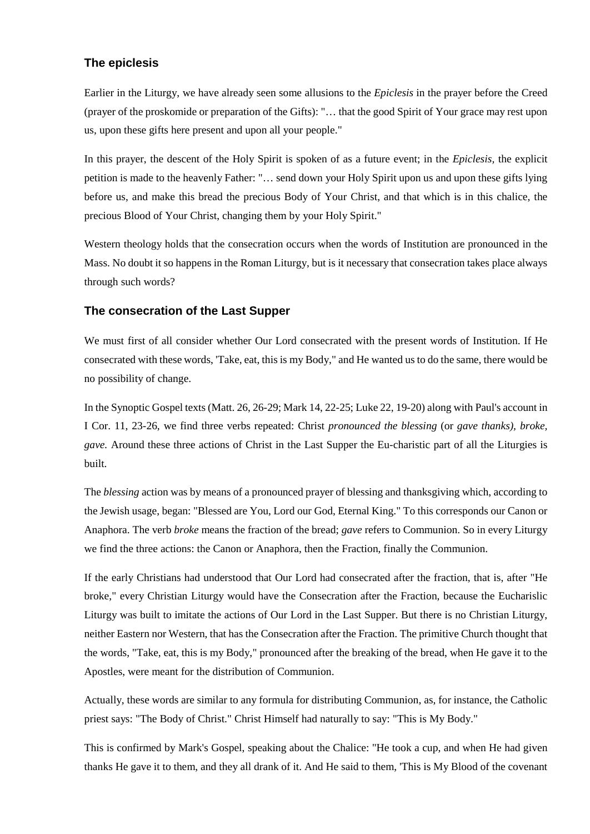## **The epiclesis**

Earlier in the Liturgy, we have already seen some allusions to the *Epiclesis* in the prayer before the Creed (prayer of the proskomide or preparation of the Gifts): "… that the good Spirit of Your grace may rest upon us, upon these gifts here present and upon all your people."

In this prayer, the descent of the Holy Spirit is spoken of as a future event; in the *Epiclesis,* the explicit petition is made to the heavenly Father: "… send down your Holy Spirit upon us and upon these gifts lying before us, and make this bread the precious Body of Your Christ, and that which is in this chalice, the precious Blood of Your Christ, changing them by your Holy Spirit."

Western theology holds that the consecration occurs when the words of Institution are pronounced in the Mass. No doubt it so happens in the Roman Liturgy, but is it necessary that consecration takes place always through such words?

## **The consecration of the Last Supper**

We must first of all consider whether Our Lord consecrated with the present words of Institution. If He consecrated with these words, 'Take, eat, this is my Body," and He wanted us to do the same, there would be no possibility of change.

In the Synoptic Gospel texts (Matt. 26, 26-29; Mark 14, 22-25; Luke 22, 19-20) along with Paul's account in I Cor. 11, 23-26, we find three verbs repeated: Christ *pronounced the blessing* (or *gave thanks), broke, gave.* Around these three actions of Christ in the Last Supper the Eu-charistic part of all the Liturgies is built.

The *blessing* action was by means of a pronounced prayer of blessing and thanksgiving which, according to the Jewish usage, began: "Blessed are You, Lord our God, Eternal King." To this corresponds our Canon or Anaphora. The verb *broke* means the fraction of the bread; *gave* refers to Communion. So in every Liturgy we find the three actions: the Canon or Anaphora, then the Fraction, finally the Communion.

If the early Christians had understood that Our Lord had consecrated after the fraction, that is, after "He broke," every Christian Liturgy would have the Consecration after the Fraction, because the Eucharislic Liturgy was built to imitate the actions of Our Lord in the Last Supper. But there is no Christian Liturgy, neither Eastern nor Western, that has the Consecration after the Fraction. The primitive Church thought that the words, "Take, eat, this is my Body," pronounced after the breaking of the bread, when He gave it to the Apostles, were meant for the distribution of Communion.

Actually, these words are similar to any formula for distributing Communion, as, for instance, the Catholic priest says: "The Body of Christ." Christ Himself had naturally to say: "This is My Body."

This is confirmed by Mark's Gospel, speaking about the Chalice: "He took a cup, and when He had given thanks He gave it to them, and they all drank of it. And He said to them, 'This is My Blood of the covenant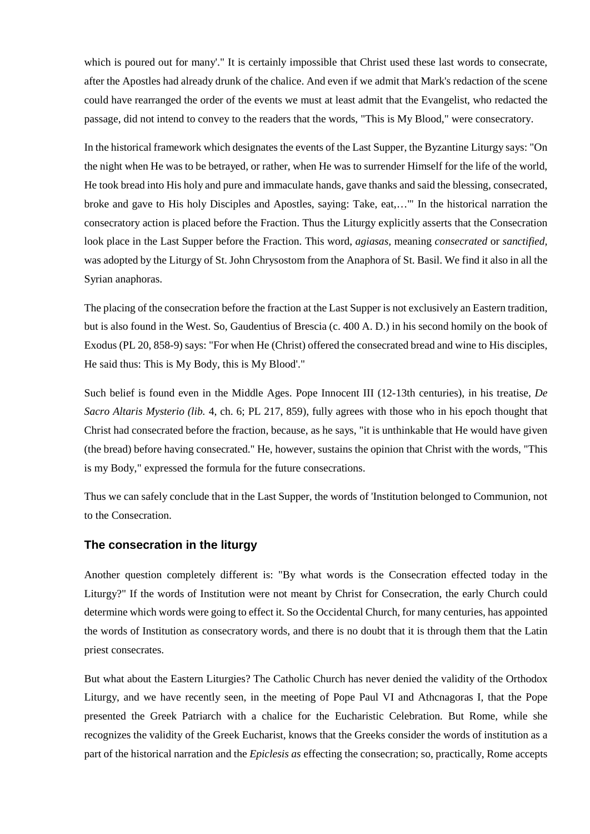which is poured out for many'." It is certainly impossible that Christ used these last words to consecrate, after the Apostles had already drunk of the chalice. And even if we admit that Mark's redaction of the scene could have rearranged the order of the events we must at least admit that the Evangelist, who redacted the passage, did not intend to convey to the readers that the words, "This is My Blood," were consecratory.

In the historical framework which designates the events of the Last Supper, the Byzantine Liturgy says: "On the night when He was to be betrayed, or rather, when He was to surrender Himself for the life of the world, He took bread into His holy and pure and immaculate hands, gave thanks and said the blessing, consecrated, broke and gave to His holy Disciples and Apostles, saying: Take, eat,…'" In the historical narration the consecratory action is placed before the Fraction. Thus the Liturgy explicitly asserts that the Consecration look place in the Last Supper before the Fraction. This word, *agiasas,* meaning *consecrated* or *sanctified,*  was adopted by the Liturgy of St. John Chrysostom from the Anaphora of St. Basil. We find it also in all the Syrian anaphoras.

The placing of the consecration before the fraction at the Last Supper is not exclusively an Eastern tradition, but is also found in the West. So, Gaudentius of Brescia (c. 400 A. D.) in his second homily on the book of Exodus (PL 20, 858-9) says: "For when He (Christ) offered the consecrated bread and wine to His disciples, He said thus: This is My Body, this is My Blood'."

Such belief is found even in the Middle Ages. Pope Innocent III (12-13th centuries), in his treatise, *De Sacro Altaris Mysterio (lib.* 4, ch. 6; PL 217, 859), fully agrees with those who in his epoch thought that Christ had consecrated before the fraction, because, as he says, "it is unthinkable that He would have given (the bread) before having consecrated." He, however, sustains the opinion that Christ with the words, "This is my Body," expressed the formula for the future consecrations.

Thus we can safely conclude that in the Last Supper, the words of 'Institution belonged to Communion, not to the Consecration.

## **The consecration in the liturgy**

Another question completely different is: "By what words is the Consecration effected today in the Liturgy?" If the words of Institution were not meant by Christ for Consecration, the early Church could determine which words were going to effect it. So the Occidental Church, for many centuries, has appointed the words of Institution as consecratory words, and there is no doubt that it is through them that the Latin priest consecrates.

But what about the Eastern Liturgies? The Catholic Church has never denied the validity of the Orthodox Liturgy, and we have recently seen, in the meeting of Pope Paul VI and Athcnagoras I, that the Pope presented the Greek Patriarch with a chalice for the Eucharistic Celebration. But Rome, while she recognizes the validity of the Greek Eucharist, knows that the Greeks consider the words of institution as a part of the historical narration and the *Epiclesis as* effecting the consecration; so, practically, Rome accepts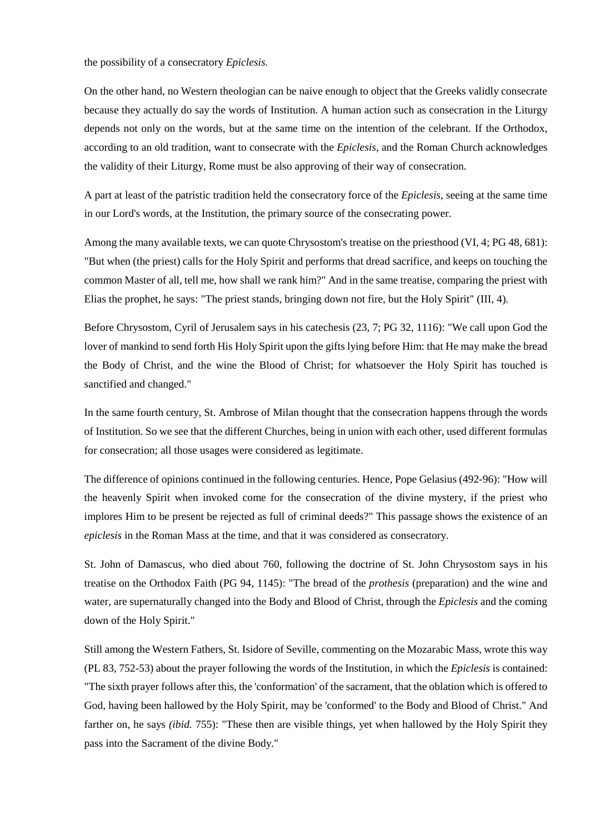the possibility of a consecratory *Epiclesis.*

On the other hand, no Western theologian can be naive enough to object that the Greeks validly consecrate because they actually do say the words of Institution. A human action such as consecration in the Liturgy depends not only on the words, but at the same time on the intention of the celebrant. If the Orthodox, according to an old tradition, want to consecrate with the *Epiclesis,* and the Roman Church acknowledges the validity of their Liturgy, Rome must be also approving of their way of consecration.

A part at least of the patristic tradition held the consecratory force of the *Epiclesis,* seeing at the same time in our Lord's words, at the Institution, the primary source of the consecrating power.

Among the many available texts, we can quote Chrysostom's treatise on the priesthood (VI, 4; PG 48, 681): "But when (the priest) calls for the Holy Spirit and performs that dread sacrifice, and keeps on touching the common Master of all, tell me, how shall we rank him?" And in the same treatise, comparing the priest with Elias the prophet, he says: "The priest stands, bringing down not fire, but the Holy Spirit" (III, 4).

Before Chrysostom, Cyril of Jerusalem says in his catechesis (23, 7; PG 32, 1116): "We call upon God the lover of mankind to send forth His Holy Spirit upon the gifts lying before Him: that He may make the bread the Body of Christ, and the wine the Blood of Christ; for whatsoever the Holy Spirit has touched is sanctified and changed."

In the same fourth century, St. Ambrose of Milan thought that the consecration happens through the words of Institution. So we see that the different Churches, being in union with each other, used different formulas for consecration; all those usages were considered as legitimate.

The difference of opinions continued in the following centuries. Hence, Pope Gelasius (492-96): "How will the heavenly Spirit when invoked come for the consecration of the divine mystery, if the priest who implores Him to be present be rejected as full of criminal deeds?" This passage shows the existence of an *epiclesis* in the Roman Mass at the time, and that it was considered as consecratory.

St. John of Damascus, who died about 760, following the doctrine of St. John Chrysostom says in his treatise on the Orthodox Faith (PG 94, 1145): "The bread of the *prothesis* (preparation) and the wine and water, are supernaturally changed into the Body and Blood of Christ, through the *Epiclesis* and the coming down of the Holy Spirit."

Still among the Western Fathers, St. Isidore of Seville, commenting on the Mozarabic Mass, wrote this way (PL 83, 752-53) about the prayer following the words of the Institution, in which the *Epiclesis* is contained: "The sixth prayer follows after this, the 'conformation' of the sacrament, that the oblation which is offered to God, having been hallowed by the Holy Spirit, may be 'conformed' to the Body and Blood of Christ." And farther on, he says *(ibid. 755)*: "These then are visible things, yet when hallowed by the Holy Spirit they pass into the Sacrament of the divine Body."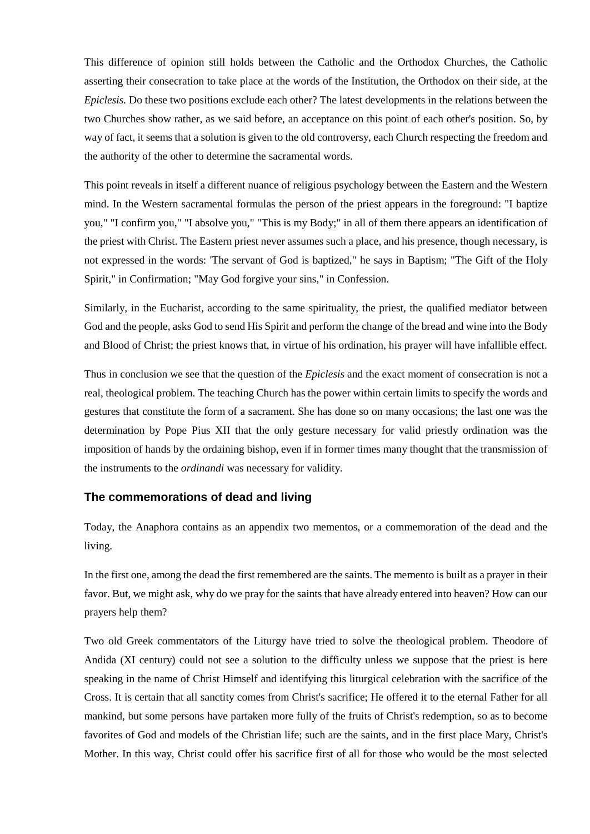This difference of opinion still holds between the Catholic and the Orthodox Churches, the Catholic asserting their consecration to take place at the words of the Institution, the Orthodox on their side, at the *Epiclesis.* Do these two positions exclude each other? The latest developments in the relations between the two Churches show rather, as we said before, an acceptance on this point of each other's position. So, by way of fact, it seems that a solution is given to the old controversy, each Church respecting the freedom and the authority of the other to determine the sacramental words.

This point reveals in itself a different nuance of religious psychology between the Eastern and the Western mind. In the Western sacramental formulas the person of the priest appears in the foreground: "I baptize you," "I confirm you," "I absolve you," "This is my Body;" in all of them there appears an identification of the priest with Christ. The Eastern priest never assumes such a place, and his presence, though necessary, is not expressed in the words: 'The servant of God is baptized," he says in Baptism; "The Gift of the Holy Spirit," in Confirmation; "May God forgive your sins," in Confession.

Similarly, in the Eucharist, according to the same spirituality, the priest, the qualified mediator between God and the people, asks God to send His Spirit and perform the change of the bread and wine into the Body and Blood of Christ; the priest knows that, in virtue of his ordination, his prayer will have infallible effect.

Thus in conclusion we see that the question of the *Epiclesis* and the exact moment of consecration is not a real, theological problem. The teaching Church has the power within certain limits to specify the words and gestures that constitute the form of a sacrament. She has done so on many occasions; the last one was the determination by Pope Pius XII that the only gesture necessary for valid priestly ordination was the imposition of hands by the ordaining bishop, even if in former times many thought that the transmission of the instruments to the *ordinandi* was necessary for validity.

## **The commemorations of dead and living**

Today, the Anaphora contains as an appendix two mementos, or a commemoration of the dead and the living.

In the first one, among the dead the first remembered are the saints. The memento is built as a prayer in their favor. But, we might ask, why do we pray for the saints that have already entered into heaven? How can our prayers help them?

Two old Greek commentators of the Liturgy have tried to solve the theological problem. Theodore of Andida (XI century) could not see a solution to the difficulty unless we suppose that the priest is here speaking in the name of Christ Himself and identifying this liturgical celebration with the sacrifice of the Cross. It is certain that all sanctity comes from Christ's sacrifice; He offered it to the eternal Father for all mankind, but some persons have partaken more fully of the fruits of Christ's redemption, so as to become favorites of God and models of the Christian life; such are the saints, and in the first place Mary, Christ's Mother. In this way, Christ could offer his sacrifice first of all for those who would be the most selected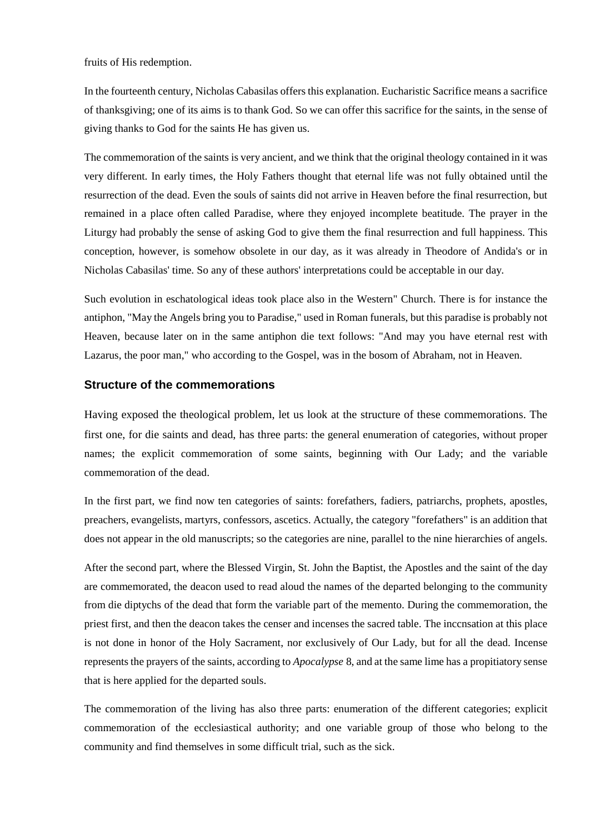fruits of His redemption.

In the fourteenth century, Nicholas Cabasilas offers this explanation. Eucharistic Sacrifice means a sacrifice of thanksgiving; one of its aims is to thank God. So we can offer this sacrifice for the saints, in the sense of giving thanks to God for the saints He has given us.

The commemoration of the saints is very ancient, and we think that the original theology contained in it was very different. In early times, the Holy Fathers thought that eternal life was not fully obtained until the resurrection of the dead. Even the souls of saints did not arrive in Heaven before the final resurrection, but remained in a place often called Paradise, where they enjoyed incomplete beatitude. The prayer in the Liturgy had probably the sense of asking God to give them the final resurrection and full happiness. This conception, however, is somehow obsolete in our day, as it was already in Theodore of Andida's or in Nicholas Cabasilas' time. So any of these authors' interpretations could be acceptable in our day.

Such evolution in eschatological ideas took place also in the Western" Church. There is for instance the antiphon, "May the Angels bring you to Paradise," used in Roman funerals, but this paradise is probably not Heaven, because later on in the same antiphon die text follows: "And may you have eternal rest with Lazarus, the poor man," who according to the Gospel, was in the bosom of Abraham, not in Heaven.

## **Structure of the commemorations**

Having exposed the theological problem, let us look at the structure of these commemorations. The first one, for die saints and dead, has three parts: the general enumeration of categories, without proper names; the explicit commemoration of some saints, beginning with Our Lady; and the variable commemoration of the dead.

In the first part, we find now ten categories of saints: forefathers, fadiers, patriarchs, prophets, apostles, preachers, evangelists, martyrs, confessors, ascetics. Actually, the category "forefathers" is an addition that does not appear in the old manuscripts; so the categories are nine, parallel to the nine hierarchies of angels.

After the second part, where the Blessed Virgin, St. John the Baptist, the Apostles and the saint of the day are commemorated, the deacon used to read aloud the names of the departed belonging to the community from die diptychs of the dead that form the variable part of the memento. During the commemoration, the priest first, and then the deacon takes the censer and incenses the sacred table. The inccnsation at this place is not done in honor of the Holy Sacrament, nor exclusively of Our Lady, but for all the dead. Incense represents the prayers of the saints, according to *Apocalypse* 8, and at the same lime has a propitiatory sense that is here applied for the departed souls.

The commemoration of the living has also three parts: enumeration of the different categories; explicit commemoration of the ecclesiastical authority; and one variable group of those who belong to the community and find themselves in some difficult trial, such as the sick.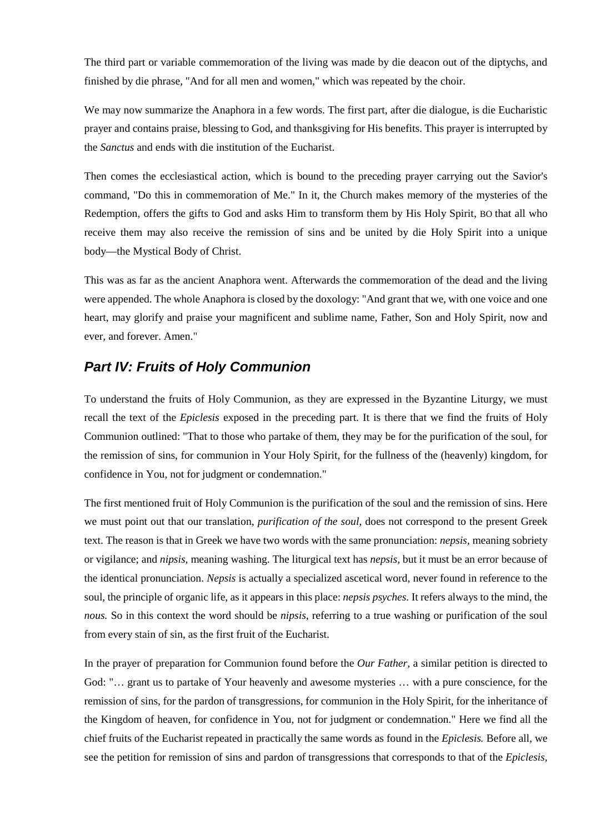The third part or variable commemoration of the living was made by die deacon out of the diptychs, and finished by die phrase, "And for all men and women," which was repeated by the choir.

We may now summarize the Anaphora in a few words. The first part, after die dialogue, is die Eucharistic prayer and contains praise, blessing to God, and thanksgiving for His benefits. This prayer is interrupted by the *Sanctus* and ends with die institution of the Eucharist.

Then comes the ecclesiastical action, which is bound to the preceding prayer carrying out the Savior's command, "Do this in commemoration of Me." In it, the Church makes memory of the mysteries of the Redemption, offers the gifts to God and asks Him to transform them by His Holy Spirit, BO that all who receive them may also receive the remission of sins and be united by die Holy Spirit into a unique body—the Mystical Body of Christ.

This was as far as the ancient Anaphora went. Afterwards the commemoration of the dead and the living were appended. The whole Anaphora is closed by the doxology: "And grant that we, with one voice and one heart, may glorify and praise your magnificent and sublime name, Father, Son and Holy Spirit, now and ever, and forever. Amen."

# *Part IV: Fruits of Holy Communion*

To understand the fruits of Holy Communion, as they are expressed in the Byzantine Liturgy, we must recall the text of the *Epiclesis* exposed in the preceding part. It is there that we find the fruits of Holy Communion outlined: "That to those who partake of them, they may be for the purification of the soul, for the remission of sins, for communion in Your Holy Spirit, for the fullness of the (heavenly) kingdom, for confidence in You, not for judgment or condemnation."

The first mentioned fruit of Holy Communion is the purification of the soul and the remission of sins. Here we must point out that our translation, *purification of the soul,* does not correspond to the present Greek text. The reason is that in Greek we have two words with the same pronunciation: *nepsis,* meaning sobriety or vigilance; and *nipsis*, meaning washing. The liturgical text has *nepsis,* but it must be an error because of the identical pronunciation. *Nepsis* is actually a specialized ascetical word, never found in reference to the soul, the principle of organic life, as it appears in this place: *nepsis psyches.* It refers always to the mind, the *nous.* So in this context the word should be *nipsis,* referring to a true washing or purification of the soul from every stain of sin, as the first fruit of the Eucharist.

In the prayer of preparation for Communion found before the *Our Father,* a similar petition is directed to God: "… grant us to partake of Your heavenly and awesome mysteries … with a pure conscience, for the remission of sins, for the pardon of transgressions, for communion in the Holy Spirit, for the inheritance of the Kingdom of heaven, for confidence in You, not for judgment or condemnation." Here we find all the chief fruits of the Eucharist repeated in practically the same words as found in the *Epiclesis.* Before all, we see the petition for remission of sins and pardon of transgressions that corresponds to that of the *Epiclesis,*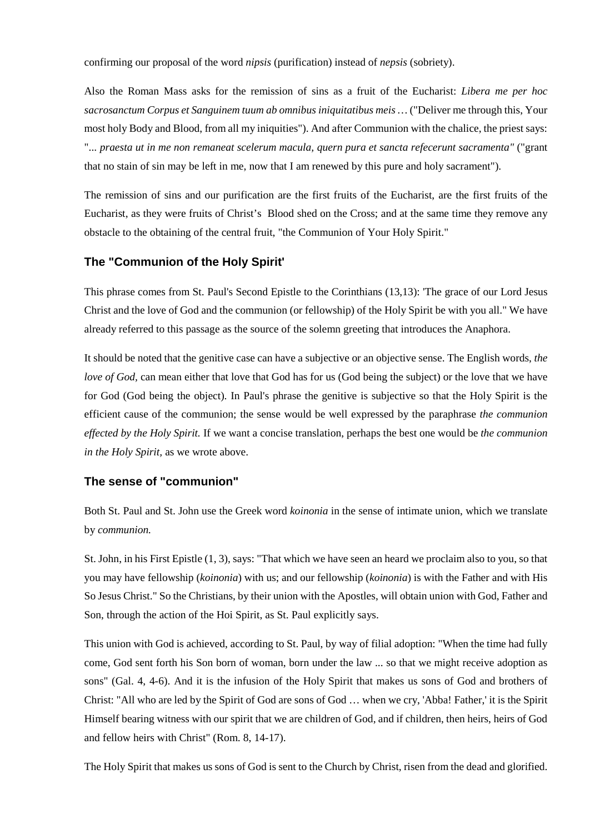confirming our proposal of the word *nipsis* (purification) instead of *nepsis* (sobriety).

Also the Roman Mass asks for the remission of sins as a fruit of the Eucharist: *Libera me per hoc sacrosanctum Corpus et Sanguinem tuum ab omnibus iniquitatibus meis …* ("Deliver me through this, Your most holy Body and Blood, from all my iniquities"). And after Communion with the chalice, the priest says: "... *praesta ut in me non remaneat scelerum macula, quern pura et sancta refecerunt sacramenta"* ("grant that no stain of sin may be left in me, now that I am renewed by this pure and holy sacrament").

The remission of sins and our purification are the first fruits of the Eucharist, are the first fruits of the Eucharist, as they were fruits of Christ's Blood shed on the Cross; and at the same time they remove any obstacle to the obtaining of the central fruit, "the Communion of Your Holy Spirit."

## **The "Communion of the Holy Spirit'**

This phrase comes from St. Paul's Second Epistle to the Corinthians (13,13): 'The grace of our Lord Jesus Christ and the love of God and the communion (or fellowship) of the Holy Spirit be with you all." We have already referred to this passage as the source of the solemn greeting that introduces the Anaphora.

It should be noted that the genitive case can have a subjective or an objective sense. The English words, *the love of God*, can mean either that love that God has for us (God being the subject) or the love that we have for God (God being the object). In Paul's phrase the genitive is subjective so that the Holy Spirit is the efficient cause of the communion; the sense would be well expressed by the paraphrase *the communion effected by the Holy Spirit.* If we want a concise translation, perhaps the best one would be *the communion in the Holy Spirit,* as we wrote above.

## **The sense of "communion"**

Both St. Paul and St. John use the Greek word *koinonia* in the sense of intimate union, which we translate by *communion.*

St. John, in his First Epistle (1, 3), says: "That which we have seen an heard we proclaim also to you, so that you may have fellowship (*koinonia*) with us; and our fellowship (*koinonia*) is with the Father and with His So Jesus Christ." So the Christians, by their union with the Apostles, will obtain union with God, Father and Son, through the action of the Hoi Spirit, as St. Paul explicitly says.

This union with God is achieved, according to St. Paul, by way of filial adoption: "When the time had fully come, God sent forth his Son born of woman, born under the law ... so that we might receive adoption as sons" (Gal. 4, 4-6). And it is the infusion of the Holy Spirit that makes us sons of God and brothers of Christ: "All who are led by the Spirit of God are sons of God … when we cry, 'Abba! Father,' it is the Spirit Himself bearing witness with our spirit that we are children of God, and if children, then heirs, heirs of God and fellow heirs with Christ" (Rom. 8, 14-17).

The Holy Spirit that makes us sons of God is sent to the Church by Christ, risen from the dead and glorified.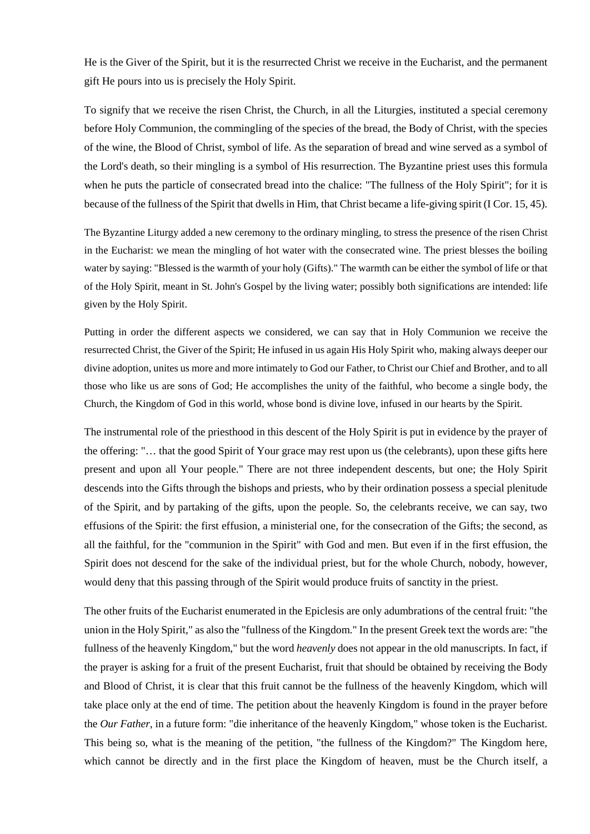He is the Giver of the Spirit, but it is the resurrected Christ we receive in the Eucharist, and the permanent gift He pours into us is precisely the Holy Spirit.

To signify that we receive the risen Christ, the Church, in all the Liturgies, instituted a special ceremony before Holy Communion, the commingling of the species of the bread, the Body of Christ, with the species of the wine, the Blood of Christ, symbol of life. As the separation of bread and wine served as a symbol of the Lord's death, so their mingling is a symbol of His resurrection. The Byzantine priest uses this formula when he puts the particle of consecrated bread into the chalice: "The fullness of the Holy Spirit"; for it is because of the fullness of the Spirit that dwells in Him, that Christ became a life-giving spirit (I Cor. 15, 45).

The Byzantine Liturgy added a new ceremony to the ordinary mingling, to stress the presence of the risen Christ in the Eucharist: we mean the mingling of hot water with the consecrated wine. The priest blesses the boiling water by saying: "Blessed is the warmth of your holy (Gifts)." The warmth can be either the symbol of life or that of the Holy Spirit, meant in St. John's Gospel by the living water; possibly both significations are intended: life given by the Holy Spirit.

Putting in order the different aspects we considered, we can say that in Holy Communion we receive the resurrected Christ, the Giver of the Spirit; He infused in us again His Holy Spirit who, making always deeper our divine adoption, unites us more and more intimately to God our Father, to Christ our Chief and Brother, and to all those who like us are sons of God; He accomplishes the unity of the faithful, who become a single body, the Church, the Kingdom of God in this world, whose bond is divine love, infused in our hearts by the Spirit.

The instrumental role of the priesthood in this descent of the Holy Spirit is put in evidence by the prayer of the offering: "… that the good Spirit of Your grace may rest upon us (the celebrants), upon these gifts here present and upon all Your people." There are not three independent descents, but one; the Holy Spirit descends into the Gifts through the bishops and priests, who by their ordination possess a special plenitude of the Spirit, and by partaking of the gifts, upon the people. So, the celebrants receive, we can say, two effusions of the Spirit: the first effusion, a ministerial one, for the consecration of the Gifts; the second, as all the faithful, for the "communion in the Spirit" with God and men. But even if in the first effusion, the Spirit does not descend for the sake of the individual priest, but for the whole Church, nobody, however, would deny that this passing through of the Spirit would produce fruits of sanctity in the priest.

The other fruits of the Eucharist enumerated in the Epiclesis are only adumbrations of the central fruit: "the union in the Holy Spirit," as also the "fullness of the Kingdom." In the present Greek text the words are: "the fullness of the heavenly Kingdom," but the word *heavenly* does not appear in the old manuscripts. In fact, if the prayer is asking for a fruit of the present Eucharist, fruit that should be obtained by receiving the Body and Blood of Christ, it is clear that this fruit cannot be the fullness of the heavenly Kingdom, which will take place only at the end of time. The petition about the heavenly Kingdom is found in the prayer before the *Our Father,* in a future form: "die inheritance of the heavenly Kingdom," whose token is the Eucharist. This being so, what is the meaning of the petition, "the fullness of the Kingdom?" The Kingdom here, which cannot be directly and in the first place the Kingdom of heaven, must be the Church itself, a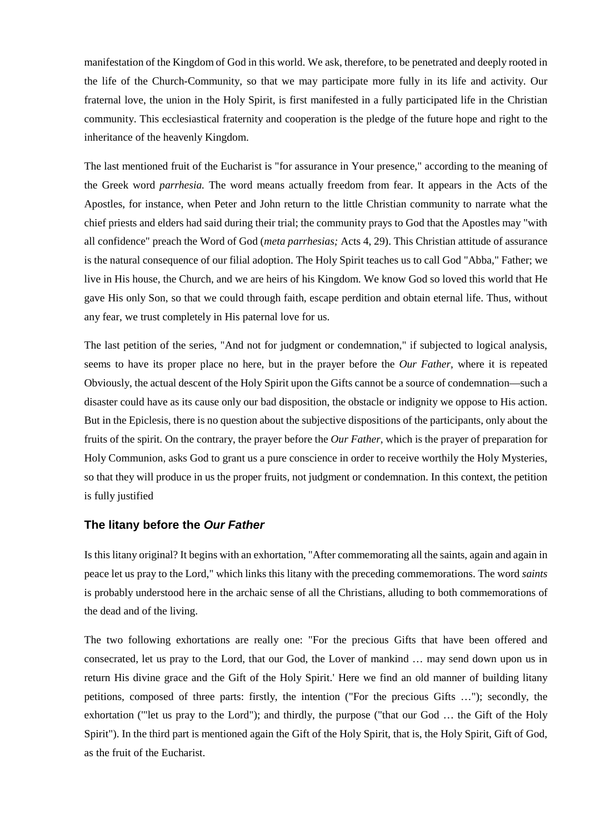manifestation of the Kingdom of God in this world. We ask, therefore, to be penetrated and deeply rooted in the life of the Church-Community, so that we may participate more fully in its life and activity. Our fraternal love, the union in the Holy Spirit, is first manifested in a fully participated life in the Christian community. This ecclesiastical fraternity and cooperation is the pledge of the future hope and right to the inheritance of the heavenly Kingdom.

The last mentioned fruit of the Eucharist is "for assurance in Your presence," according to the meaning of the Greek word *parrhesia.* The word means actually freedom from fear. It appears in the Acts of the Apostles, for instance, when Peter and John return to the little Christian community to narrate what the chief priests and elders had said during their trial; the community prays to God that the Apostles may "with all confidence" preach the Word of God (*meta parrhesias;* Acts 4, 29). This Christian attitude of assurance is the natural consequence of our filial adoption. The Holy Spirit teaches us to call God "Abba," Father; we live in His house, the Church, and we are heirs of his Kingdom. We know God so loved this world that He gave His only Son, so that we could through faith, escape perdition and obtain eternal life. Thus, without any fear, we trust completely in His paternal love for us.

The last petition of the series, "And not for judgment or condemnation," if subjected to logical analysis, seems to have its proper place no here, but in the prayer before the *Our Father,* where it is repeated Obviously, the actual descent of the Holy Spirit upon the Gifts cannot be a source of condemnation—such a disaster could have as its cause only our bad disposition, the obstacle or indignity we oppose to His action. But in the Epiclesis, there is no question about the subjective dispositions of the participants, only about the fruits of the spirit. On the contrary, the prayer before the *Our Father,* which is the prayer of preparation for Holy Communion, asks God to grant us a pure conscience in order to receive worthily the Holy Mysteries, so that they will produce in us the proper fruits, not judgment or condemnation. In this context, the petition is fully justified

## **The litany before the** *Our Father*

Is this litany original? It begins with an exhortation, "After commemorating all the saints, again and again in peace let us pray to the Lord," which links this litany with the preceding commemorations. The word *saints* is probably understood here in the archaic sense of all the Christians, alluding to both commemorations of the dead and of the living.

The two following exhortations are really one: "For the precious Gifts that have been offered and consecrated, let us pray to the Lord, that our God, the Lover of mankind … may send down upon us in return His divine grace and the Gift of the Holy Spirit.' Here we find an old manner of building litany petitions, composed of three parts: firstly, the intention ("For the precious Gifts …"); secondly, the exhortation ('"let us pray to the Lord"); and thirdly, the purpose ("that our God … the Gift of the Holy Spirit"). In the third part is mentioned again the Gift of the Holy Spirit, that is, the Holy Spirit, Gift of God, as the fruit of the Eucharist.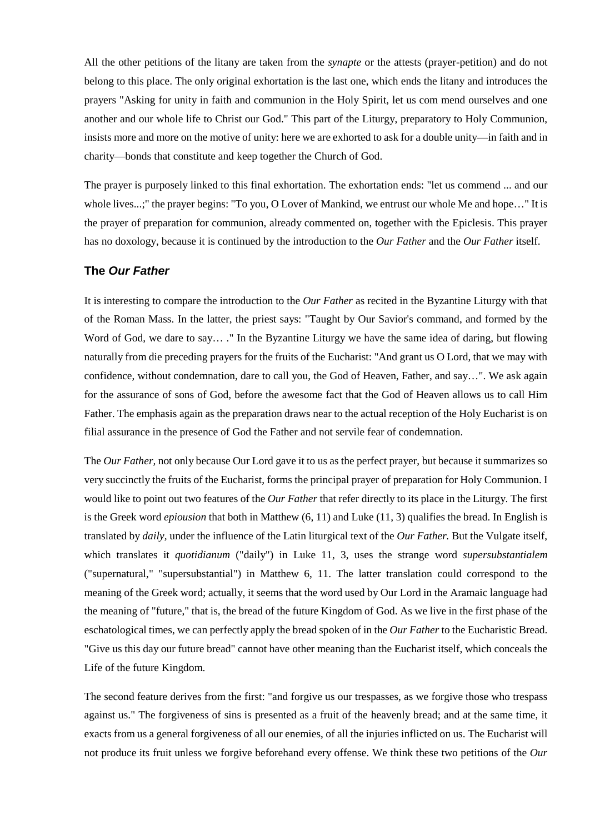All the other petitions of the litany are taken from the *synapte* or the attests (prayer-petition) and do not belong to this place. The only original exhortation is the last one, which ends the litany and introduces the prayers "Asking for unity in faith and communion in the Holy Spirit, let us com mend ourselves and one another and our whole life to Christ our God." This part of the Liturgy, preparatory to Holy Communion, insists more and more on the motive of unity: here we are exhorted to ask for a double unity—in faith and in charity—bonds that constitute and keep together the Church of God.

The prayer is purposely linked to this final exhortation. The exhortation ends: "let us commend ... and our whole lives...;" the prayer begins: "To you, O Lover of Mankind, we entrust our whole Me and hope..." It is the prayer of preparation for communion, already commented on, together with the Epiclesis. This prayer has no doxology, because it is continued by the introduction to the *Our Father* and the *Our Father* itself.

## **The** *Our Father*

It is interesting to compare the introduction to the *Our Father* as recited in the Byzantine Liturgy with that of the Roman Mass. In the latter, the priest says: "Taught by Our Savior's command, and formed by the Word of God, we dare to say… ." In the Byzantine Liturgy we have the same idea of daring, but flowing naturally from die preceding prayers for the fruits of the Eucharist: "And grant us O Lord, that we may with confidence, without condemnation, dare to call you, the God of Heaven, Father, and say…". We ask again for the assurance of sons of God, before the awesome fact that the God of Heaven allows us to call Him Father. The emphasis again as the preparation draws near to the actual reception of the Holy Eucharist is on filial assurance in the presence of God the Father and not servile fear of condemnation.

The *Our Father,* not only because Our Lord gave it to us as the perfect prayer, but because it summarizes so very succinctly the fruits of the Eucharist, forms the principal prayer of preparation for Holy Communion. I would like to point out two features of the *Our Father* that refer directly to its place in the Liturgy. The first is the Greek word *epiousion* that both in Matthew (6, 11) and Luke (11, 3) qualifies the bread. In English is translated by *daily,* under the influence of the Latin liturgical text of the *Our Father.* But the Vulgate itself, which translates it *quotidianum* ("daily") in Luke 11, 3, uses the strange word *supersubstantialem*  ("supernatural," "supersubstantial") in Matthew 6, 11. The latter translation could correspond to the meaning of the Greek word; actually, it seems that the word used by Our Lord in the Aramaic language had the meaning of "future," that is, the bread of the future Kingdom of God. As we live in the first phase of the eschatological times, we can perfectly apply the bread spoken of in the *Our Father* to the Eucharistic Bread. "Give us this day our future bread" cannot have other meaning than the Eucharist itself, which conceals the Life of the future Kingdom.

The second feature derives from the first: "and forgive us our trespasses, as we forgive those who trespass against us." The forgiveness of sins is presented as a fruit of the heavenly bread; and at the same time, it exacts from us a general forgiveness of all our enemies, of all the injuries inflicted on us. The Eucharist will not produce its fruit unless we forgive beforehand every offense. We think these two petitions of the *Our*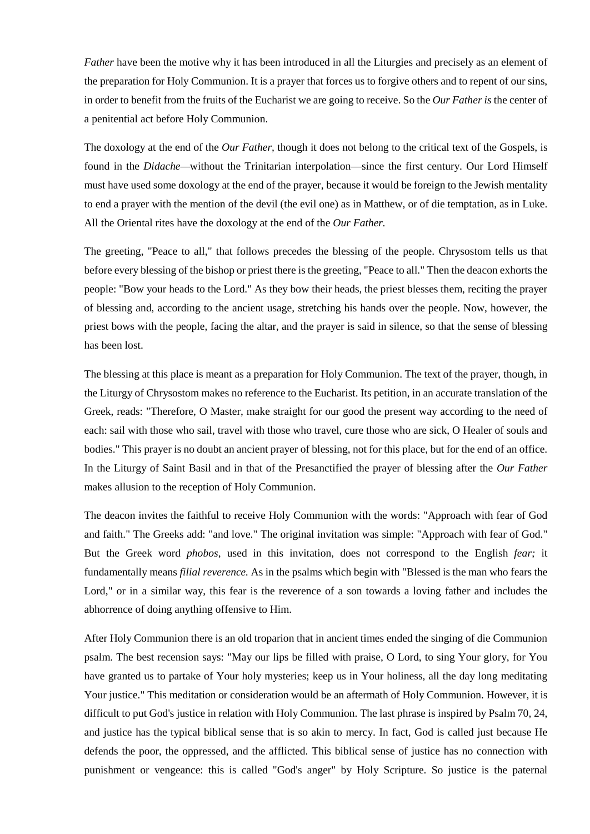*Father* have been the motive why it has been introduced in all the Liturgies and precisely as an element of the preparation for Holy Communion. It is a prayer that forces us to forgive others and to repent of our sins, in order to benefit from the fruits of the Eucharist we are going to receive. So the *Our Father is* the center of a penitential act before Holy Communion.

The doxology at the end of the *Our Father,* though it does not belong to the critical text of the Gospels, is found in the *Didache—*without the Trinitarian interpolation—since the first century. Our Lord Himself must have used some doxology at the end of the prayer, because it would be foreign to the Jewish mentality to end a prayer with the mention of the devil (the evil one) as in Matthew, or of die temptation, as in Luke. All the Oriental rites have the doxology at the end of the *Our Father.*

The greeting, "Peace to all," that follows precedes the blessing of the people. Chrysostom tells us that before every blessing of the bishop or priest there is the greeting, "Peace to all." Then the deacon exhorts the people: "Bow your heads to the Lord." As they bow their heads, the priest blesses them, reciting the prayer of blessing and, according to the ancient usage, stretching his hands over the people. Now, however, the priest bows with the people, facing the altar, and the prayer is said in silence, so that the sense of blessing has been lost.

The blessing at this place is meant as a preparation for Holy Communion. The text of the prayer, though, in the Liturgy of Chrysostom makes no reference to the Eucharist. Its petition, in an accurate translation of the Greek, reads: "Therefore, O Master, make straight for our good the present way according to the need of each: sail with those who sail, travel with those who travel, cure those who are sick, O Healer of souls and bodies." This prayer is no doubt an ancient prayer of blessing, not for this place, but for the end of an office. In the Liturgy of Saint Basil and in that of the Presanctified the prayer of blessing after the *Our Father*  makes allusion to the reception of Holy Communion.

The deacon invites the faithful to receive Holy Communion with the words: "Approach with fear of God and faith." The Greeks add: "and love." The original invitation was simple: "Approach with fear of God." But the Greek word *phobos,* used in this invitation, does not correspond to the English *fear;* it fundamentally means *filial reverence.* As in the psalms which begin with "Blessed is the man who fears the Lord," or in a similar way, this fear is the reverence of a son towards a loving father and includes the abhorrence of doing anything offensive to Him.

After Holy Communion there is an old troparion that in ancient times ended the singing of die Communion psalm. The best recension says: "May our lips be filled with praise, O Lord, to sing Your glory, for You have granted us to partake of Your holy mysteries; keep us in Your holiness, all the day long meditating Your justice." This meditation or consideration would be an aftermath of Holy Communion. However, it is difficult to put God's justice in relation with Holy Communion. The last phrase is inspired by Psalm 70, 24, and justice has the typical biblical sense that is so akin to mercy. In fact, God is called just because He defends the poor, the oppressed, and the afflicted. This biblical sense of justice has no connection with punishment or vengeance: this is called "God's anger" by Holy Scripture. So justice is the paternal